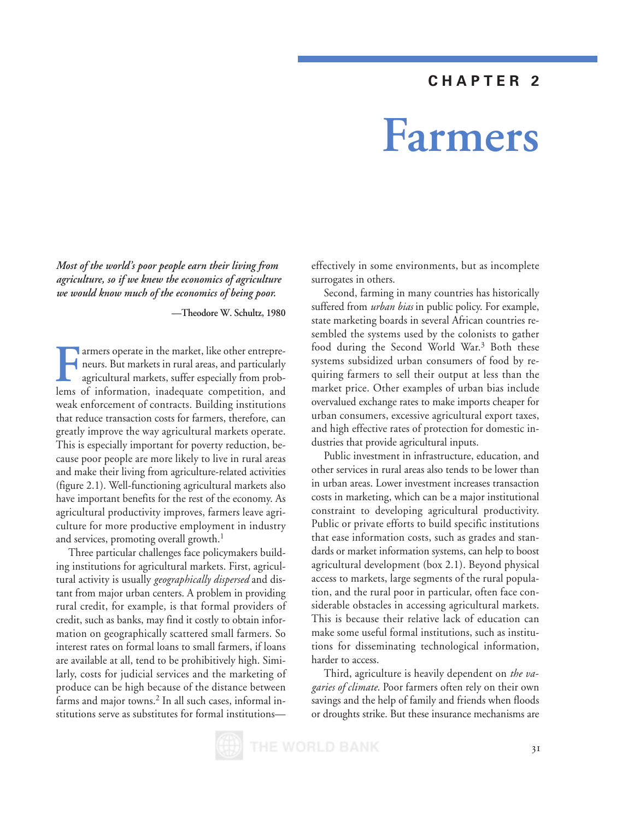# **CHAPTER 2**

# **Farmers**

*Most of the world's poor people earn their living from agriculture, so if we knew the economics of agriculture we would know much of the economics of being poor.*

**—Theodore W. Schultz, 1980**

**Farmers operate in the market, like other entrepre-**<br>neurs. But markets in rural areas, and particularly<br>agricultural markets, suffer especially from prob-<br>lems of information, inadequate competition, and neurs. But markets in rural areas, and particularly agricultural markets, suffer especially from problems of information, inadequate competition, and weak enforcement of contracts. Building institutions that reduce transaction costs for farmers, therefore, can greatly improve the way agricultural markets operate. This is especially important for poverty reduction, because poor people are more likely to live in rural areas and make their living from agriculture-related activities (figure 2.1). Well-functioning agricultural markets also have important benefits for the rest of the economy. As agricultural productivity improves, farmers leave agriculture for more productive employment in industry and services, promoting overall growth.<sup>1</sup>

Three particular challenges face policymakers building institutions for agricultural markets. First, agricultural activity is usually *geographically dispersed* and distant from major urban centers. A problem in providing rural credit, for example, is that formal providers of credit, such as banks, may find it costly to obtain information on geographically scattered small farmers. So interest rates on formal loans to small farmers, if loans are available at all, tend to be prohibitively high. Similarly, costs for judicial services and the marketing of produce can be high because of the distance between farms and major towns.<sup>2</sup> In all such cases, informal institutions serve as substitutes for formal institutionseffectively in some environments, but as incomplete surrogates in others.

Second, farming in many countries has historically suffered from *urban bias* in public policy. For example, state marketing boards in several African countries resembled the systems used by the colonists to gather food during the Second World War.<sup>3</sup> Both these systems subsidized urban consumers of food by requiring farmers to sell their output at less than the market price. Other examples of urban bias include overvalued exchange rates to make imports cheaper for urban consumers, excessive agricultural export taxes, and high effective rates of protection for domestic industries that provide agricultural inputs.

Public investment in infrastructure, education, and other services in rural areas also tends to be lower than in urban areas. Lower investment increases transaction costs in marketing, which can be a major institutional constraint to developing agricultural productivity. Public or private efforts to build specific institutions that ease information costs, such as grades and standards or market information systems, can help to boost agricultural development (box 2.1). Beyond physical access to markets, large segments of the rural population, and the rural poor in particular, often face considerable obstacles in accessing agricultural markets. This is because their relative lack of education can make some useful formal institutions, such as institutions for disseminating technological information, harder to access.

Third, agriculture is heavily dependent on *the vagaries of climate*. Poor farmers often rely on their own savings and the help of family and friends when floods or droughts strike. But these insurance mechanisms are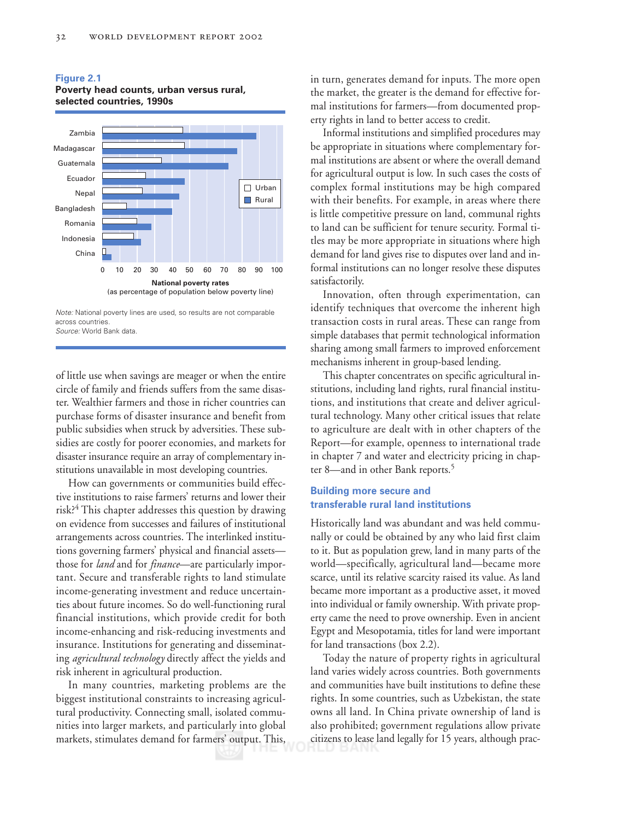**Figure 2.1 Poverty head counts, urban versus rural, selected countries, 1990s**



*Note:* National poverty lines are used, so results are not comparable across countries. *Source:* World Bank data.

of little use when savings are meager or when the entire circle of family and friends suffers from the same disaster. Wealthier farmers and those in richer countries can purchase forms of disaster insurance and benefit from public subsidies when struck by adversities. These subsidies are costly for poorer economies, and markets for disaster insurance require an array of complementary institutions unavailable in most developing countries.

How can governments or communities build effective institutions to raise farmers' returns and lower their risk?<sup>4</sup> This chapter addresses this question by drawing on evidence from successes and failures of institutional arrangements across countries. The interlinked institutions governing farmers' physical and financial assets those for *land* and for *finance*—are particularly important. Secure and transferable rights to land stimulate income-generating investment and reduce uncertainties about future incomes. So do well-functioning rural financial institutions, which provide credit for both income-enhancing and risk-reducing investments and insurance. Institutions for generating and disseminating *agricultural technology* directly affect the yields and risk inherent in agricultural production.

In many countries, marketing problems are the biggest institutional constraints to increasing agricultural productivity. Connecting small, isolated communities into larger markets, and particularly into global markets, stimulates demand for farmers' output. This, in turn, generates demand for inputs. The more open the market, the greater is the demand for effective formal institutions for farmers—from documented property rights in land to better access to credit.

Informal institutions and simplified procedures may be appropriate in situations where complementary formal institutions are absent or where the overall demand for agricultural output is low. In such cases the costs of complex formal institutions may be high compared with their benefits. For example, in areas where there is little competitive pressure on land, communal rights to land can be sufficient for tenure security. Formal titles may be more appropriate in situations where high demand for land gives rise to disputes over land and informal institutions can no longer resolve these disputes satisfactorily.

Innovation, often through experimentation, can identify techniques that overcome the inherent high transaction costs in rural areas. These can range from simple databases that permit technological information sharing among small farmers to improved enforcement mechanisms inherent in group-based lending.

This chapter concentrates on specific agricultural institutions, including land rights, rural financial institutions, and institutions that create and deliver agricultural technology. Many other critical issues that relate to agriculture are dealt with in other chapters of the Report—for example, openness to international trade in chapter 7 and water and electricity pricing in chapter 8—and in other Bank reports.<sup>5</sup>

# **Building more secure and transferable rural land institutions**

Historically land was abundant and was held communally or could be obtained by any who laid first claim to it. But as population grew, land in many parts of the world—specifically, agricultural land—became more scarce, until its relative scarcity raised its value. As land became more important as a productive asset, it moved into individual or family ownership. With private property came the need to prove ownership. Even in ancient Egypt and Mesopotamia, titles for land were important for land transactions (box 2.2).

Today the nature of property rights in agricultural land varies widely across countries. Both governments and communities have built institutions to define these rights. In some countries, such as Uzbekistan, the state owns all land. In China private ownership of land is also prohibited; government regulations allow private citizens to lease land legally for 15 years, although prac-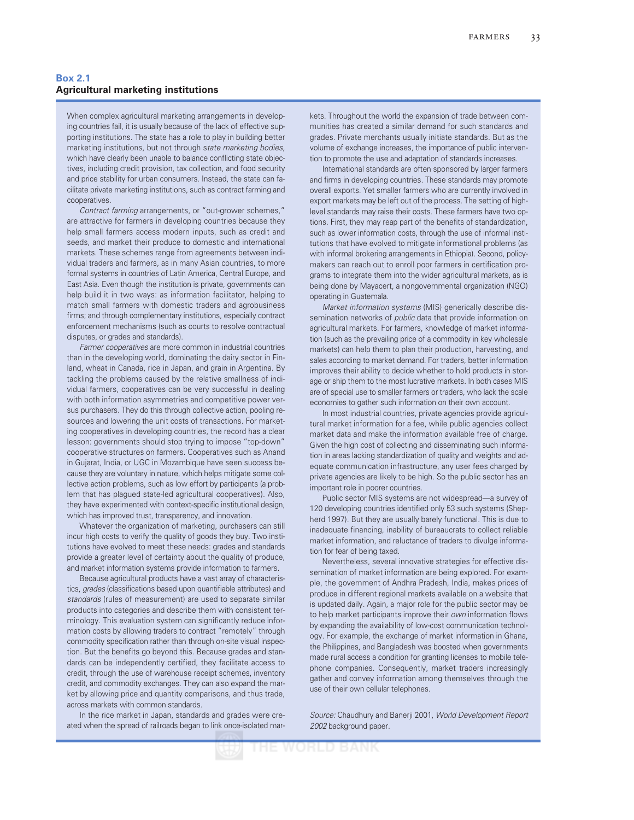# **Box 2.1 Agricultural marketing institutions**

When complex agricultural marketing arrangements in developing countries fail, it is usually because of the lack of effective supporting institutions. The state has a role to play in building better marketing institutions, but not through s*tate marketing bodies,* which have clearly been unable to balance conflicting state objectives, including credit provision, tax collection, and food security and price stability for urban consumers. Instead, the state can facilitate private marketing institutions, such as contract farming and cooperatives.

*Contract farming* arrangements, or "out-grower schemes," are attractive for farmers in developing countries because they help small farmers access modern inputs, such as credit and seeds, and market their produce to domestic and international markets. These schemes range from agreements between individual traders and farmers, as in many Asian countries, to more formal systems in countries of Latin America, Central Europe, and East Asia. Even though the institution is private, governments can help build it in two ways: as information facilitator, helping to match small farmers with domestic traders and agrobusiness firms; and through complementary institutions, especially contract enforcement mechanisms (such as courts to resolve contractual disputes, or grades and standards).

*Farmer cooperatives* are more common in industrial countries than in the developing world, dominating the dairy sector in Finland, wheat in Canada, rice in Japan, and grain in Argentina. By tackling the problems caused by the relative smallness of individual farmers, cooperatives can be very successful in dealing with both information asymmetries and competitive power versus purchasers. They do this through collective action, pooling resources and lowering the unit costs of transactions. For marketing cooperatives in developing countries, the record has a clear lesson: governments should stop trying to impose "top-down" cooperative structures on farmers. Cooperatives such as Anand in Gujarat, India, or UGC in Mozambique have seen success because they are voluntary in nature, which helps mitigate some collective action problems, such as low effort by participants (a problem that has plagued state-led agricultural cooperatives). Also, they have experimented with context-specific institutional design, which has improved trust, transparency, and innovation.

Whatever the organization of marketing, purchasers can still incur high costs to verify the quality of goods they buy. Two institutions have evolved to meet these needs: grades and standards provide a greater level of certainty about the quality of produce, and market information systems provide information to farmers.

Because agricultural products have a vast array of characteristics, *grades* (classifications based upon quantifiable attributes) and *standards* (rules of measurement) are used to separate similar products into categories and describe them with consistent terminology. This evaluation system can significantly reduce information costs by allowing traders to contract "remotely" through commodity specification rather than through on-site visual inspection. But the benefits go beyond this. Because grades and standards can be independently certified, they facilitate access to credit, through the use of warehouse receipt schemes, inventory credit, and commodity exchanges. They can also expand the market by allowing price and quantity comparisons, and thus trade, across markets with common standards.

In the rice market in Japan, standards and grades were created when the spread of railroads began to link once-isolated markets. Throughout the world the expansion of trade between communities has created a similar demand for such standards and grades. Private merchants usually initiate standards. But as the volume of exchange increases, the importance of public intervention to promote the use and adaptation of standards increases.

International standards are often sponsored by larger farmers and firms in developing countries. These standards may promote overall exports. Yet smaller farmers who are currently involved in export markets may be left out of the process. The setting of highlevel standards may raise their costs. These farmers have two options. First, they may reap part of the benefits of standardization, such as lower information costs, through the use of informal institutions that have evolved to mitigate informational problems (as with informal brokering arrangements in Ethiopia). Second, policymakers can reach out to enroll poor farmers in certification programs to integrate them into the wider agricultural markets, as is being done by Mayacert, a nongovernmental organization (NGO) operating in Guatemala.

*Market information systems* (MIS) generically describe dissemination networks of *public* data that provide information on agricultural markets. For farmers, knowledge of market information (such as the prevailing price of a commodity in key wholesale markets) can help them to plan their production, harvesting, and sales according to market demand. For traders, better information improves their ability to decide whether to hold products in storage or ship them to the most lucrative markets. In both cases MIS are of special use to smaller farmers or traders, who lack the scale economies to gather such information on their own account.

In most industrial countries, private agencies provide agricultural market information for a fee, while public agencies collect market data and make the information available free of charge. Given the high cost of collecting and disseminating such information in areas lacking standardization of quality and weights and adequate communication infrastructure, any user fees charged by private agencies are likely to be high. So the public sector has an important role in poorer countries.

Public sector MIS systems are not widespread—a survey of 120 developing countries identified only 53 such systems (Shepherd 1997). But they are usually barely functional. This is due to inadequate financing, inability of bureaucrats to collect reliable market information, and reluctance of traders to divulge information for fear of being taxed.

Nevertheless, several innovative strategies for effective dissemination of market information are being explored. For example, the government of Andhra Pradesh, India, makes prices of produce in different regional markets available on a website that is updated daily. Again, a major role for the public sector may be to help market participants improve their *own* information flows by expanding the availability of low-cost communication technology. For example, the exchange of market information in Ghana, the Philippines, and Bangladesh was boosted when governments made rural access a condition for granting licenses to mobile telephone companies. Consequently, market traders increasingly gather and convey information among themselves through the use of their own cellular telephones.

*Source:* Chaudhury and Banerji 2001, *World Development Report 2002* background paper.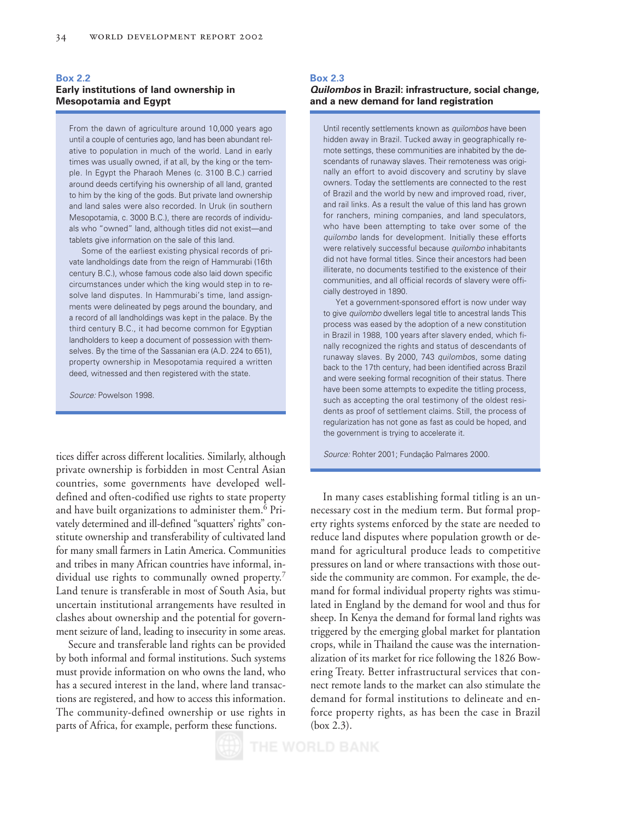# **Box 2.2 Early institutions of land ownership in Mesopotamia and Egypt**

From the dawn of agriculture around 10,000 years ago until a couple of centuries ago, land has been abundant relative to population in much of the world. Land in early times was usually owned, if at all, by the king or the temple. In Egypt the Pharaoh Menes (c. 3100 B.C.) carried around deeds certifying his ownership of all land, granted to him by the king of the gods. But private land ownership and land sales were also recorded. In Uruk (in southern Mesopotamia, c. 3000 B.C.), there are records of individuals who "owned" land, although titles did not exist—and tablets give information on the sale of this land.

Some of the earliest existing physical records of private landholdings date from the reign of Hammurabi (16th century B.C.), whose famous code also laid down specific circumstances under which the king would step in to resolve land disputes. In Hammurabi's time, land assignments were delineated by pegs around the boundary, and a record of all landholdings was kept in the palace. By the third century B.C., it had become common for Egyptian landholders to keep a document of possession with themselves. By the time of the Sassanian era (A.D. 224 to 651), property ownership in Mesopotamia required a written deed, witnessed and then registered with the state.

*Source:* Powelson 1998.

tices differ across different localities. Similarly, although private ownership is forbidden in most Central Asian countries, some governments have developed welldefined and often-codified use rights to state property and have built organizations to administer them.<sup>6</sup> Privately determined and ill-defined "squatters' rights" constitute ownership and transferability of cultivated land for many small farmers in Latin America. Communities and tribes in many African countries have informal, individual use rights to communally owned property.<sup>7</sup> Land tenure is transferable in most of South Asia, but uncertain institutional arrangements have resulted in clashes about ownership and the potential for government seizure of land, leading to insecurity in some areas.

Secure and transferable land rights can be provided by both informal and formal institutions. Such systems must provide information on who owns the land, who has a secured interest in the land, where land transactions are registered, and how to access this information. The community-defined ownership or use rights in parts of Africa, for example, perform these functions.

#### **Box 2.3**

#### *Quilombos* **in Brazil: infrastructure, social change, and a new demand for land registration**

Until recently settlements known as *quilombos* have been hidden away in Brazil. Tucked away in geographically remote settings, these communities are inhabited by the descendants of runaway slaves. Their remoteness was originally an effort to avoid discovery and scrutiny by slave owners. Today the settlements are connected to the rest of Brazil and the world by new and improved road, river, and rail links. As a result the value of this land has grown for ranchers, mining companies, and land speculators, who have been attempting to take over some of the *quilombo* lands for development. Initially these efforts were relatively successful because *quilombo* inhabitants did not have formal titles. Since their ancestors had been illiterate, no documents testified to the existence of their communities, and all official records of slavery were officially destroyed in 1890.

Yet a government-sponsored effort is now under way to give *quilombo* dwellers legal title to ancestral lands This process was eased by the adoption of a new constitution in Brazil in 1988, 100 years after slavery ended, which finally recognized the rights and status of descendants of runaway slaves. By 2000, 743 *quilombo*s, some dating back to the 17th century, had been identified across Brazil and were seeking formal recognition of their status. There have been some attempts to expedite the titling process, such as accepting the oral testimony of the oldest residents as proof of settlement claims. Still, the process of regularization has not gone as fast as could be hoped, and the government is trying to accelerate it.

*Source:* Rohter 2001; Fundação Palmares 2000.

In many cases establishing formal titling is an unnecessary cost in the medium term. But formal property rights systems enforced by the state are needed to reduce land disputes where population growth or demand for agricultural produce leads to competitive pressures on land or where transactions with those outside the community are common. For example, the demand for formal individual property rights was stimulated in England by the demand for wool and thus for sheep. In Kenya the demand for formal land rights was triggered by the emerging global market for plantation crops, while in Thailand the cause was the internationalization of its market for rice following the 1826 Bowering Treaty. Better infrastructural services that connect remote lands to the market can also stimulate the demand for formal institutions to delineate and enforce property rights, as has been the case in Brazil (box 2.3).

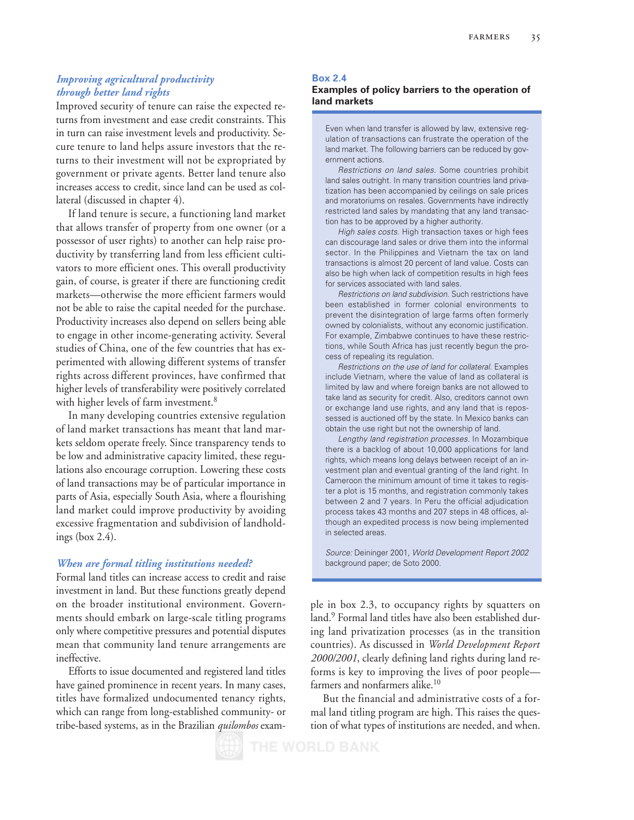# *Improving agricultural productivity through better land rights*

Improved security of tenure can raise the expected returns from investment and ease credit constraints. This in turn can raise investment levels and productivity. Secure tenure to land helps assure investors that the returns to their investment will not be expropriated by government or private agents. Better land tenure also increases access to credit, since land can be used as collateral (discussed in chapter 4).

If land tenure is secure, a functioning land market that allows transfer of property from one owner (or a possessor of user rights) to another can help raise productivity by transferring land from less efficient cultivators to more efficient ones. This overall productivity gain, of course, is greater if there are functioning credit markets—otherwise the more efficient farmers would not be able to raise the capital needed for the purchase. Productivity increases also depend on sellers being able to engage in other income-generating activity. Several studies of China, one of the few countries that has experimented with allowing different systems of transfer rights across different provinces, have confirmed that higher levels of transferability were positively correlated with higher levels of farm investment.<sup>8</sup>

In many developing countries extensive regulation of land market transactions has meant that land markets seldom operate freely. Since transparency tends to be low and administrative capacity limited, these regulations also encourage corruption. Lowering these costs of land transactions may be of particular importance in parts of Asia, especially South Asia, where a flourishing land market could improve productivity by avoiding excessive fragmentation and subdivision of landholdings (box 2.4).

# *When are formal titling institutions needed?*

Formal land titles can increase access to credit and raise investment in land. But these functions greatly depend on the broader institutional environment. Governments should embark on large-scale titling programs only where competitive pressures and potential disputes mean that community land tenure arrangements are ineffective.

Efforts to issue documented and registered land titles have gained prominence in recent years. In many cases, titles have formalized undocumented tenancy rights, which can range from long-established community- or tribe-based systems, as in the Brazilian *quilombos* exam-

# **Box 2.4**

## **Examples of policy barriers to the operation of land markets**

Even when land transfer is allowed by law, extensive regulation of transactions can frustrate the operation of the land market. The following barriers can be reduced by government actions.

*Restrictions on land sales*. Some countries prohibit land sales outright. In many transition countries land privatization has been accompanied by ceilings on sale prices and moratoriums on resales. Governments have indirectly restricted land sales by mandating that any land transaction has to be approved by a higher authority.

*High sales costs*. High transaction taxes or high fees can discourage land sales or drive them into the informal sector. In the Philippines and Vietnam the tax on land transactions is almost 20 percent of land value. Costs can also be high when lack of competition results in high fees for services associated with land sales.

*Restrictions on land subdivision*. Such restrictions have been established in former colonial environments to prevent the disintegration of large farms often formerly owned by colonialists, without any economic justification. For example, Zimbabwe continues to have these restrictions, while South Africa has just recently begun the process of repealing its regulation.

*Restrictions on the use of land for collateral*. Examples include Vietnam, where the value of land as collateral is limited by law and where foreign banks are not allowed to take land as security for credit. Also, creditors cannot own or exchange land use rights, and any land that is repossessed is auctioned off by the state. In Mexico banks can obtain the use right but not the ownership of land.

*Lengthy land registration processes.* In Mozambique there is a backlog of about 10,000 applications for land rights, which means long delays between receipt of an investment plan and eventual granting of the land right. In Cameroon the minimum amount of time it takes to register a plot is 15 months, and registration commonly takes between 2 and 7 years. In Peru the official adjudication process takes 43 months and 207 steps in 48 offices, although an expedited process is now being implemented in selected areas.

*Source:* Deininger 2001, *World Development Report 2002* background paper; de Soto 2000.

ple in box 2.3, to occupancy rights by squatters on land.9 Formal land titles have also been established during land privatization processes (as in the transition countries). As discussed in *World Development Report 2000/2001*, clearly defining land rights during land reforms is key to improving the lives of poor people farmers and nonfarmers alike.<sup>10</sup>

But the financial and administrative costs of a formal land titling program are high. This raises the question of what types of institutions are needed, and when.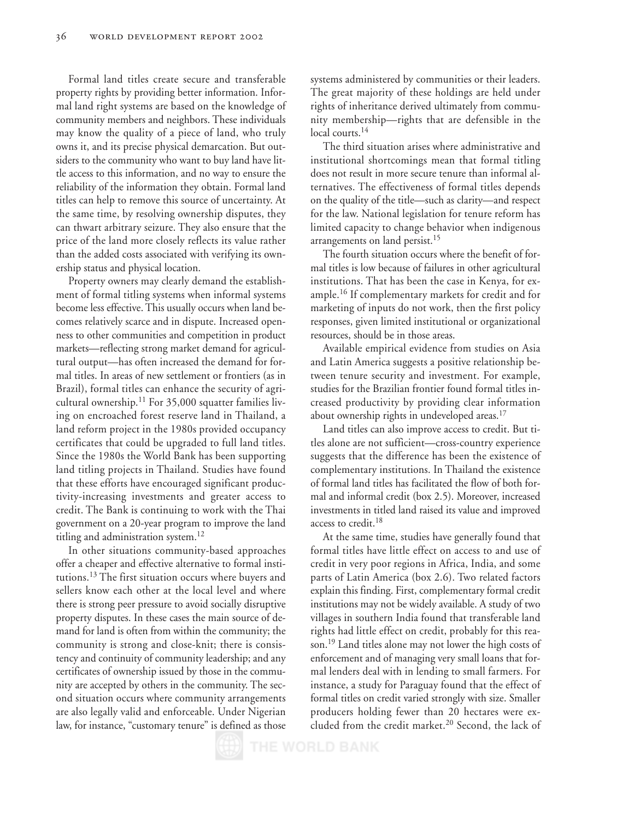Formal land titles create secure and transferable property rights by providing better information. Informal land right systems are based on the knowledge of community members and neighbors. These individuals may know the quality of a piece of land, who truly owns it, and its precise physical demarcation. But outsiders to the community who want to buy land have little access to this information, and no way to ensure the reliability of the information they obtain. Formal land titles can help to remove this source of uncertainty. At the same time, by resolving ownership disputes, they can thwart arbitrary seizure. They also ensure that the price of the land more closely reflects its value rather than the added costs associated with verifying its ownership status and physical location.

Property owners may clearly demand the establishment of formal titling systems when informal systems become less effective. This usually occurs when land becomes relatively scarce and in dispute. Increased openness to other communities and competition in product markets—reflecting strong market demand for agricultural output—has often increased the demand for formal titles. In areas of new settlement or frontiers (as in Brazil), formal titles can enhance the security of agricultural ownership.<sup>11</sup> For 35,000 squatter families living on encroached forest reserve land in Thailand, a land reform project in the 1980s provided occupancy certificates that could be upgraded to full land titles. Since the 1980s the World Bank has been supporting land titling projects in Thailand. Studies have found that these efforts have encouraged significant productivity-increasing investments and greater access to credit. The Bank is continuing to work with the Thai government on a 20-year program to improve the land titling and administration system.<sup>12</sup>

In other situations community-based approaches offer a cheaper and effective alternative to formal institutions.<sup>13</sup> The first situation occurs where buyers and sellers know each other at the local level and where there is strong peer pressure to avoid socially disruptive property disputes. In these cases the main source of demand for land is often from within the community; the community is strong and close-knit; there is consistency and continuity of community leadership; and any certificates of ownership issued by those in the community are accepted by others in the community. The second situation occurs where community arrangements are also legally valid and enforceable. Under Nigerian law, for instance, "customary tenure" is defined as those systems administered by communities or their leaders. The great majority of these holdings are held under rights of inheritance derived ultimately from community membership—rights that are defensible in the local courts.<sup>14</sup>

The third situation arises where administrative and institutional shortcomings mean that formal titling does not result in more secure tenure than informal alternatives. The effectiveness of formal titles depends on the quality of the title—such as clarity—and respect for the law. National legislation for tenure reform has limited capacity to change behavior when indigenous arrangements on land persist.<sup>15</sup>

The fourth situation occurs where the benefit of formal titles is low because of failures in other agricultural institutions. That has been the case in Kenya, for example.<sup>16</sup> If complementary markets for credit and for marketing of inputs do not work, then the first policy responses, given limited institutional or organizational resources, should be in those areas.

Available empirical evidence from studies on Asia and Latin America suggests a positive relationship between tenure security and investment. For example, studies for the Brazilian frontier found formal titles increased productivity by providing clear information about ownership rights in undeveloped areas.<sup>17</sup>

Land titles can also improve access to credit. But titles alone are not sufficient—cross-country experience suggests that the difference has been the existence of complementary institutions. In Thailand the existence of formal land titles has facilitated the flow of both formal and informal credit (box 2.5). Moreover, increased investments in titled land raised its value and improved access to credit.<sup>18</sup>

At the same time, studies have generally found that formal titles have little effect on access to and use of credit in very poor regions in Africa, India, and some parts of Latin America (box 2.6). Two related factors explain this finding. First, complementary formal credit institutions may not be widely available. A study of two villages in southern India found that transferable land rights had little effect on credit, probably for this reason.<sup>19</sup> Land titles alone may not lower the high costs of enforcement and of managing very small loans that formal lenders deal with in lending to small farmers. For instance, a study for Paraguay found that the effect of formal titles on credit varied strongly with size. Smaller producers holding fewer than 20 hectares were excluded from the credit market.<sup>20</sup> Second, the lack of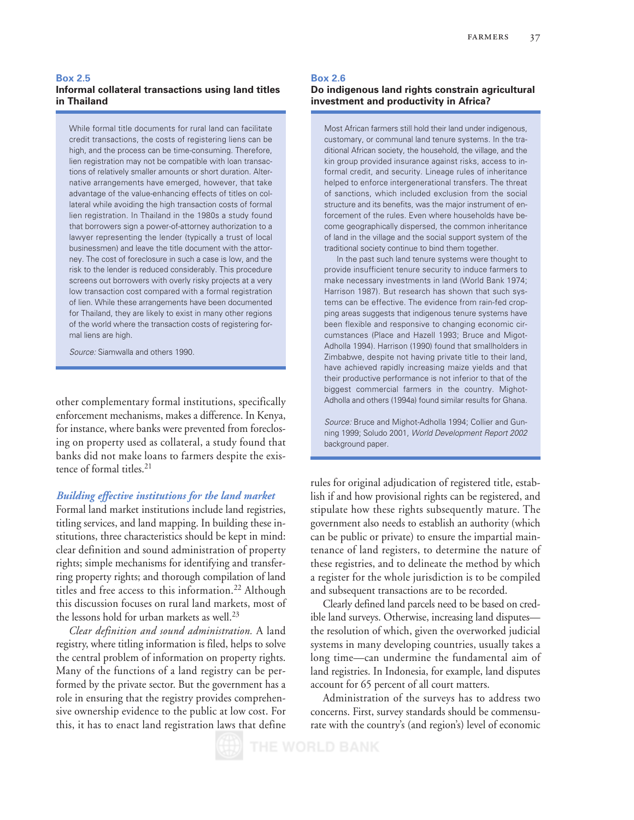## **Box 2.5 Informal collateral transactions using land titles in Thailand**

While formal title documents for rural land can facilitate credit transactions, the costs of registering liens can be high, and the process can be time-consuming. Therefore, lien registration may not be compatible with loan transactions of relatively smaller amounts or short duration. Alternative arrangements have emerged, however, that take advantage of the value-enhancing effects of titles on collateral while avoiding the high transaction costs of formal lien registration. In Thailand in the 1980s a study found that borrowers sign a power-of-attorney authorization to a lawyer representing the lender (typically a trust of local businessmen) and leave the title document with the attorney. The cost of foreclosure in such a case is low, and the risk to the lender is reduced considerably. This procedure screens out borrowers with overly risky projects at a very low transaction cost compared with a formal registration of lien. While these arrangements have been documented for Thailand, they are likely to exist in many other regions of the world where the transaction costs of registering formal liens are high.

*Source:* Siamwalla and others 1990.

other complementary formal institutions, specifically enforcement mechanisms, makes a difference. In Kenya, for instance, where banks were prevented from foreclosing on property used as collateral, a study found that banks did not make loans to farmers despite the existence of formal titles.21

# *Building effective institutions for the land market*

Formal land market institutions include land registries, titling services, and land mapping. In building these institutions, three characteristics should be kept in mind: clear definition and sound administration of property rights; simple mechanisms for identifying and transferring property rights; and thorough compilation of land titles and free access to this information.<sup>22</sup> Although this discussion focuses on rural land markets, most of the lessons hold for urban markets as well.<sup>23</sup>

*Clear definition and sound administration.* A land registry, where titling information is filed, helps to solve the central problem of information on property rights. Many of the functions of a land registry can be performed by the private sector. But the government has a role in ensuring that the registry provides comprehensive ownership evidence to the public at low cost. For this, it has to enact land registration laws that define

# **Box 2.6**

# **Do indigenous land rights constrain agricultural investment and productivity in Africa?**

Most African farmers still hold their land under indigenous, customary, or communal land tenure systems. In the traditional African society, the household, the village, and the kin group provided insurance against risks, access to informal credit, and security. Lineage rules of inheritance helped to enforce intergenerational transfers. The threat of sanctions, which included exclusion from the social structure and its benefits, was the major instrument of enforcement of the rules. Even where households have become geographically dispersed, the common inheritance of land in the village and the social support system of the traditional society continue to bind them together.

In the past such land tenure systems were thought to provide insufficient tenure security to induce farmers to make necessary investments in land (World Bank 1974; Harrison 1987). But research has shown that such systems can be effective. The evidence from rain-fed cropping areas suggests that indigenous tenure systems have been flexible and responsive to changing economic circumstances (Place and Hazell 1993; Bruce and Migot-Adholla 1994). Harrison (1990) found that smallholders in Zimbabwe, despite not having private title to their land, have achieved rapidly increasing maize yields and that their productive performance is not inferior to that of the biggest commercial farmers in the country. Mighot-Adholla and others (1994a) found similar results for Ghana.

*Source:* Bruce and Mighot-Adholla 1994; Collier and Gunning 1999; Soludo 2001, *World Development Report 2002* background paper.

rules for original adjudication of registered title, establish if and how provisional rights can be registered, and stipulate how these rights subsequently mature. The government also needs to establish an authority (which can be public or private) to ensure the impartial maintenance of land registers, to determine the nature of these registries, and to delineate the method by which a register for the whole jurisdiction is to be compiled and subsequent transactions are to be recorded.

Clearly defined land parcels need to be based on credible land surveys. Otherwise, increasing land disputes the resolution of which, given the overworked judicial systems in many developing countries, usually takes a long time—can undermine the fundamental aim of land registries. In Indonesia, for example, land disputes account for 65 percent of all court matters.

Administration of the surveys has to address two concerns. First, survey standards should be commensurate with the country's (and region's) level of economic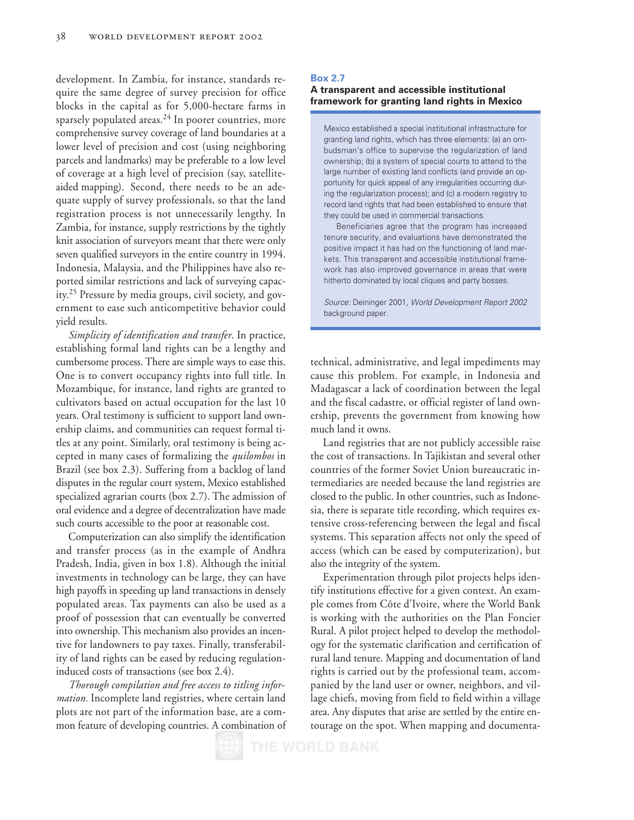development. In Zambia, for instance, standards require the same degree of survey precision for office blocks in the capital as for 5,000-hectare farms in sparsely populated areas. $24$  In poorer countries, more comprehensive survey coverage of land boundaries at a lower level of precision and cost (using neighboring parcels and landmarks) may be preferable to a low level of coverage at a high level of precision (say, satelliteaided mapping). Second, there needs to be an adequate supply of survey professionals, so that the land registration process is not unnecessarily lengthy. In Zambia, for instance, supply restrictions by the tightly knit association of surveyors meant that there were only seven qualified surveyors in the entire country in 1994. Indonesia, Malaysia, and the Philippines have also reported similar restrictions and lack of surveying capacity.<sup>25</sup> Pressure by media groups, civil society, and government to ease such anticompetitive behavior could yield results.

*Simplicity of identification and transfer*. In practice, establishing formal land rights can be a lengthy and cumbersome process. There are simple ways to ease this. One is to convert occupancy rights into full title. In Mozambique, for instance, land rights are granted to cultivators based on actual occupation for the last 10 years. Oral testimony is sufficient to support land ownership claims, and communities can request formal titles at any point. Similarly, oral testimony is being accepted in many cases of formalizing the *quilombos* in Brazil (see box 2.3). Suffering from a backlog of land disputes in the regular court system, Mexico established specialized agrarian courts (box 2.7). The admission of oral evidence and a degree of decentralization have made such courts accessible to the poor at reasonable cost.

Computerization can also simplify the identification and transfer process (as in the example of Andhra Pradesh, India, given in box 1.8). Although the initial investments in technology can be large, they can have high payoffs in speeding up land transactions in densely populated areas. Tax payments can also be used as a proof of possession that can eventually be converted into ownership. This mechanism also provides an incentive for landowners to pay taxes. Finally, transferability of land rights can be eased by reducing regulationinduced costs of transactions (see box 2.4).

*Thorough compilation and free access to titling information.* Incomplete land registries, where certain land plots are not part of the information base, are a common feature of developing countries. A combination of

#### **Box 2.7**

# **A transparent and accessible institutional framework for granting land rights in Mexico**

Mexico established a special institutional infrastructure for granting land rights, which has three elements: (a) an ombudsman's office to supervise the regularization of land ownership; (b) a system of special courts to attend to the large number of existing land conflicts (and provide an opportunity for quick appeal of any irregularities occurring during the regularization process); and (c) a modern registry to record land rights that had been established to ensure that they could be used in commercial transactions.

Beneficiaries agree that the program has increased tenure security, and evaluations have demonstrated the positive impact it has had on the functioning of land markets. This transparent and accessible institutional framework has also improved governance in areas that were hitherto dominated by local cliques and party bosses.

*Source:* Deininger 2001, *World Development Report 2002* background paper.

technical, administrative, and legal impediments may cause this problem. For example, in Indonesia and Madagascar a lack of coordination between the legal and the fiscal cadastre, or official register of land ownership, prevents the government from knowing how much land it owns.

Land registries that are not publicly accessible raise the cost of transactions. In Tajikistan and several other countries of the former Soviet Union bureaucratic intermediaries are needed because the land registries are closed to the public. In other countries, such as Indonesia, there is separate title recording, which requires extensive cross-referencing between the legal and fiscal systems. This separation affects not only the speed of access (which can be eased by computerization), but also the integrity of the system.

Experimentation through pilot projects helps identify institutions effective for a given context. An example comes from Côte d'Ivoire, where the World Bank is working with the authorities on the Plan Foncier Rural. A pilot project helped to develop the methodology for the systematic clarification and certification of rural land tenure. Mapping and documentation of land rights is carried out by the professional team, accompanied by the land user or owner, neighbors, and village chiefs, moving from field to field within a village area. Any disputes that arise are settled by the entire entourage on the spot. When mapping and documenta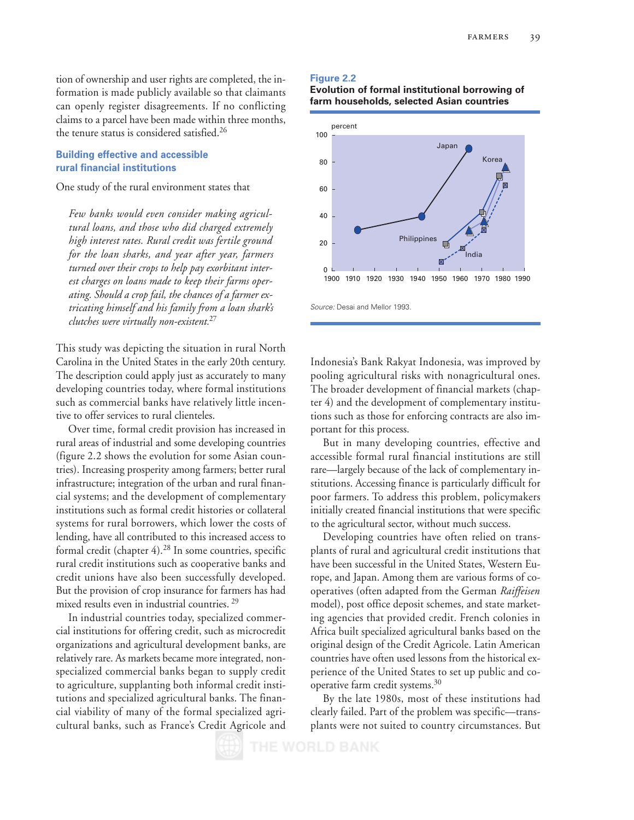tion of ownership and user rights are completed, the information is made publicly available so that claimants can openly register disagreements. If no conflicting claims to a parcel have been made within three months, the tenure status is considered satisfied.<sup>26</sup>

# **Building effective and accessible rural financial institutions**

One study of the rural environment states that

*Few banks would even consider making agricultural loans, and those who did charged extremely high interest rates. Rural credit was fertile ground for the loan sharks, and year after year, farmers turned over their crops to help pay exorbitant interest charges on loans made to keep their farms operating. Should a crop fail, the chances of a farmer extricating himself and his family from a loan shark's clutches were virtually non-existent.*<sup>27</sup>

This study was depicting the situation in rural North Carolina in the United States in the early 20th century. The description could apply just as accurately to many developing countries today, where formal institutions such as commercial banks have relatively little incentive to offer services to rural clienteles.

Over time, formal credit provision has increased in rural areas of industrial and some developing countries (figure 2.2 shows the evolution for some Asian countries). Increasing prosperity among farmers; better rural infrastructure; integration of the urban and rural financial systems; and the development of complementary institutions such as formal credit histories or collateral systems for rural borrowers, which lower the costs of lending, have all contributed to this increased access to formal credit (chapter  $4$ ).<sup>28</sup> In some countries, specific rural credit institutions such as cooperative banks and credit unions have also been successfully developed. But the provision of crop insurance for farmers has had mixed results even in industrial countries. <sup>29</sup>

In industrial countries today, specialized commercial institutions for offering credit, such as microcredit organizations and agricultural development banks, are relatively rare. As markets became more integrated, nonspecialized commercial banks began to supply credit to agriculture, supplanting both informal credit institutions and specialized agricultural banks. The financial viability of many of the formal specialized agricultural banks, such as France's Credit Agricole and

# **Figure 2.2**

#### **Evolution of formal institutional borrowing of farm households, selected Asian countries**



Indonesia's Bank Rakyat Indonesia, was improved by pooling agricultural risks with nonagricultural ones. The broader development of financial markets (chapter 4) and the development of complementary institutions such as those for enforcing contracts are also important for this process.

But in many developing countries, effective and accessible formal rural financial institutions are still rare—largely because of the lack of complementary institutions. Accessing finance is particularly difficult for poor farmers. To address this problem, policymakers initially created financial institutions that were specific to the agricultural sector, without much success.

Developing countries have often relied on transplants of rural and agricultural credit institutions that have been successful in the United States, Western Europe, and Japan. Among them are various forms of cooperatives (often adapted from the German *Raiffeisen* model), post office deposit schemes, and state marketing agencies that provided credit. French colonies in Africa built specialized agricultural banks based on the original design of the Credit Agricole. Latin American countries have often used lessons from the historical experience of the United States to set up public and cooperative farm credit systems.30

By the late 1980s, most of these institutions had clearly failed. Part of the problem was specific—transplants were not suited to country circumstances. But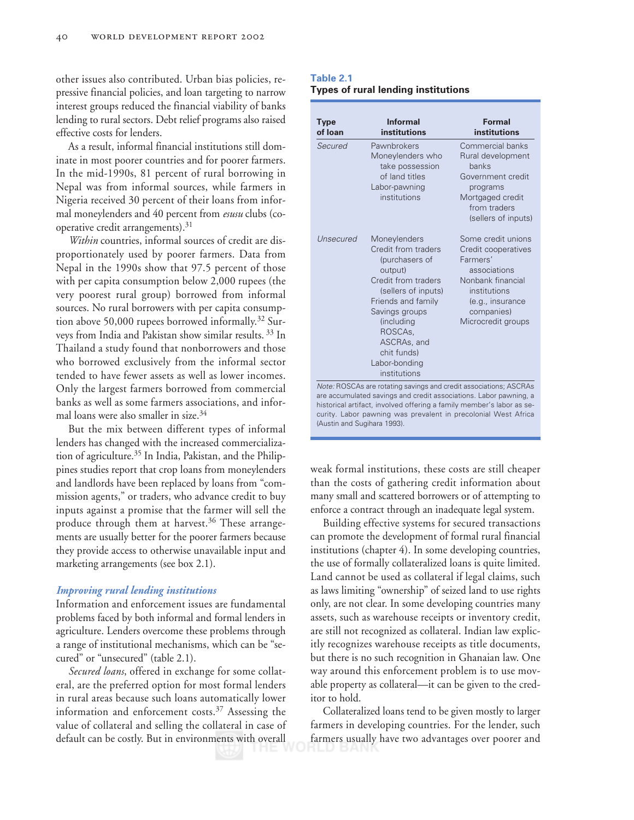other issues also contributed. Urban bias policies, repressive financial policies, and loan targeting to narrow interest groups reduced the financial viability of banks lending to rural sectors. Debt relief programs also raised effective costs for lenders.

As a result, informal financial institutions still dominate in most poorer countries and for poorer farmers. In the mid-1990s, 81 percent of rural borrowing in Nepal was from informal sources, while farmers in Nigeria received 30 percent of their loans from informal moneylenders and 40 percent from *esusu* clubs (cooperative credit arrangements).<sup>31</sup>

*Within* countries, informal sources of credit are disproportionately used by poorer farmers. Data from Nepal in the 1990s show that 97.5 percent of those with per capita consumption below 2,000 rupees (the very poorest rural group) borrowed from informal sources. No rural borrowers with per capita consumption above 50,000 rupees borrowed informally.<sup>32</sup> Surveys from India and Pakistan show similar results. <sup>33</sup> In Thailand a study found that nonborrowers and those who borrowed exclusively from the informal sector tended to have fewer assets as well as lower incomes. Only the largest farmers borrowed from commercial banks as well as some farmers associations, and informal loans were also smaller in size. $34$ 

But the mix between different types of informal lenders has changed with the increased commercialization of agriculture.<sup>35</sup> In India, Pakistan, and the Philippines studies report that crop loans from moneylenders and landlords have been replaced by loans from "commission agents," or traders, who advance credit to buy inputs against a promise that the farmer will sell the produce through them at harvest.<sup>36</sup> These arrangements are usually better for the poorer farmers because they provide access to otherwise unavailable input and marketing arrangements (see box 2.1).

# *Improving rural lending institutions*

Information and enforcement issues are fundamental problems faced by both informal and formal lenders in agriculture. Lenders overcome these problems through a range of institutional mechanisms, which can be "secured" or "unsecured" (table 2.1).

*Secured loans*, offered in exchange for some collateral, are the preferred option for most formal lenders in rural areas because such loans automatically lower information and enforcement costs.<sup>37</sup> Assessing the value of collateral and selling the collateral in case of default can be costly. But in environments with overall

# **Table 2.1**

|  |  |  | <b>Types of rural lending institutions</b> |
|--|--|--|--------------------------------------------|
|--|--|--|--------------------------------------------|

| <b>Type</b><br>of loan | <b>Informal</b><br>institutions                                                                                                                                                                                                                | <b>Formal</b><br><b>institutions</b>                                                                                                                               |
|------------------------|------------------------------------------------------------------------------------------------------------------------------------------------------------------------------------------------------------------------------------------------|--------------------------------------------------------------------------------------------------------------------------------------------------------------------|
| Secured                | Pawnbrokers<br>Moneylenders who<br>take possession<br>of land titles<br>Labor-pawning<br>institutions                                                                                                                                          | Commercial banks<br>Rural development<br>banks<br>Government credit<br>programs<br>Mortgaged credit<br>from traders<br>(sellers of inputs)                         |
| Unsecured              | Moneylenders<br>Credit from traders<br>(purchasers of<br>output)<br>Credit from traders<br>(sellers of inputs)<br>Friends and family<br>Savings groups<br>(including<br>ROSCAs,<br>ASCRAs, and<br>chit funds)<br>Labor-bonding<br>institutions | Some credit unions<br>Credit cooperatives<br>Farmers'<br>associations<br>Nonbank financial<br>institutions<br>(e.g., insurance<br>companies)<br>Microcredit groups |

umulated savings and credit associations. Labor pawning, a historical artifact, involved offering a family member's labor as security. Labor pawning was prevalent in precolonial West Africa (Austin and Sugihara 1993).

weak formal institutions, these costs are still cheaper than the costs of gathering credit information about many small and scattered borrowers or of attempting to enforce a contract through an inadequate legal system.

Building effective systems for secured transactions can promote the development of formal rural financial institutions (chapter 4). In some developing countries, the use of formally collateralized loans is quite limited. Land cannot be used as collateral if legal claims, such as laws limiting "ownership" of seized land to use rights only, are not clear. In some developing countries many assets, such as warehouse receipts or inventory credit, are still not recognized as collateral. Indian law explicitly recognizes warehouse receipts as title documents, but there is no such recognition in Ghanaian law. One way around this enforcement problem is to use movable property as collateral—it can be given to the creditor to hold.

Collateralized loans tend to be given mostly to larger farmers in developing countries. For the lender, such farmers usually have two advantages over poorer and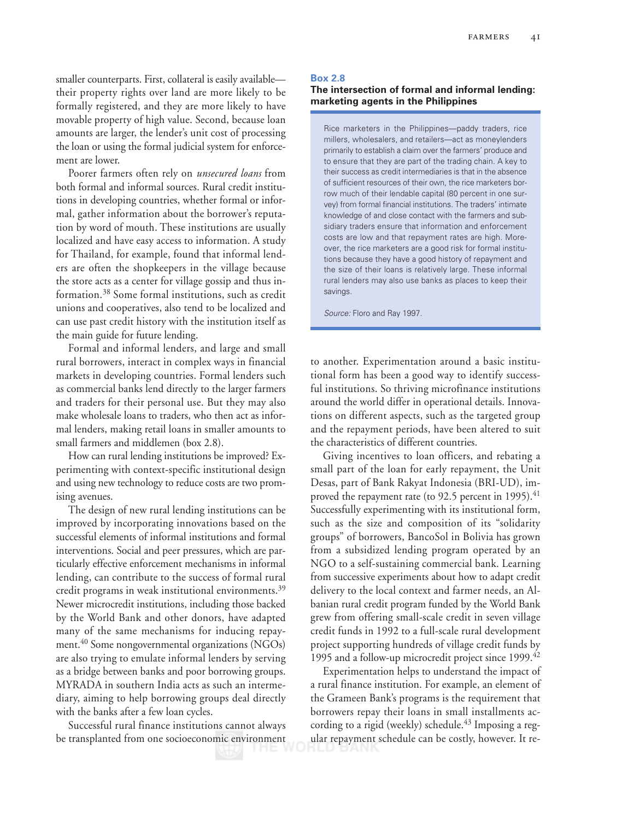smaller counterparts. First, collateral is easily available their property rights over land are more likely to be formally registered, and they are more likely to have movable property of high value. Second, because loan amounts are larger, the lender's unit cost of processing the loan or using the formal judicial system for enforcement are lower.

Poorer farmers often rely on *unsecured loans* from both formal and informal sources. Rural credit institutions in developing countries, whether formal or informal, gather information about the borrower's reputation by word of mouth. These institutions are usually localized and have easy access to information. A study for Thailand, for example, found that informal lenders are often the shopkeepers in the village because the store acts as a center for village gossip and thus information.<sup>38</sup> Some formal institutions, such as credit unions and cooperatives, also tend to be localized and can use past credit history with the institution itself as the main guide for future lending.

Formal and informal lenders, and large and small rural borrowers, interact in complex ways in financial markets in developing countries. Formal lenders such as commercial banks lend directly to the larger farmers and traders for their personal use. But they may also make wholesale loans to traders, who then act as informal lenders, making retail loans in smaller amounts to small farmers and middlemen (box 2.8).

How can rural lending institutions be improved? Experimenting with context-specific institutional design and using new technology to reduce costs are two promising avenues.

The design of new rural lending institutions can be improved by incorporating innovations based on the successful elements of informal institutions and formal interventions. Social and peer pressures, which are particularly effective enforcement mechanisms in informal lending, can contribute to the success of formal rural credit programs in weak institutional environments.<sup>39</sup> Newer microcredit institutions, including those backed by the World Bank and other donors, have adapted many of the same mechanisms for inducing repayment.<sup>40</sup> Some nongovernmental organizations (NGOs) are also trying to emulate informal lenders by serving as a bridge between banks and poor borrowing groups. MYRADA in southern India acts as such an intermediary, aiming to help borrowing groups deal directly with the banks after a few loan cycles.

Successful rural finance institutions cannot always be transplanted from one socioeconomic environment

# **Box 2.8**

# **The intersection of formal and informal lending: marketing agents in the Philippines**

Rice marketers in the Philippines—paddy traders, rice millers, wholesalers, and retailers—act as moneylenders primarily to establish a claim over the farmers' produce and to ensure that they are part of the trading chain. A key to their success as credit intermediaries is that in the absence of sufficient resources of their own, the rice marketers borrow much of their lendable capital (80 percent in one survey) from formal financial institutions. The traders' intimate knowledge of and close contact with the farmers and subsidiary traders ensure that information and enforcement costs are low and that repayment rates are high. Moreover, the rice marketers are a good risk for formal institutions because they have a good history of repayment and the size of their loans is relatively large. These informal rural lenders may also use banks as places to keep their savings.

*Source:* Floro and Ray 1997.

to another. Experimentation around a basic institutional form has been a good way to identify successful institutions. So thriving microfinance institutions around the world differ in operational details. Innovations on different aspects, such as the targeted group and the repayment periods, have been altered to suit the characteristics of different countries.

Giving incentives to loan officers, and rebating a small part of the loan for early repayment, the Unit Desas, part of Bank Rakyat Indonesia (BRI-UD), improved the repayment rate (to 92.5 percent in 1995). $41$ Successfully experimenting with its institutional form, such as the size and composition of its "solidarity groups" of borrowers, BancoSol in Bolivia has grown from a subsidized lending program operated by an NGO to a self-sustaining commercial bank. Learning from successive experiments about how to adapt credit delivery to the local context and farmer needs, an Albanian rural credit program funded by the World Bank grew from offering small-scale credit in seven village credit funds in 1992 to a full-scale rural development project supporting hundreds of village credit funds by 1995 and a follow-up microcredit project since 1999.42

Experimentation helps to understand the impact of a rural finance institution. For example, an element of the Grameen Bank's programs is the requirement that borrowers repay their loans in small installments according to a rigid (weekly) schedule.<sup>43</sup> Imposing a regular repayment schedule can be costly, however. It re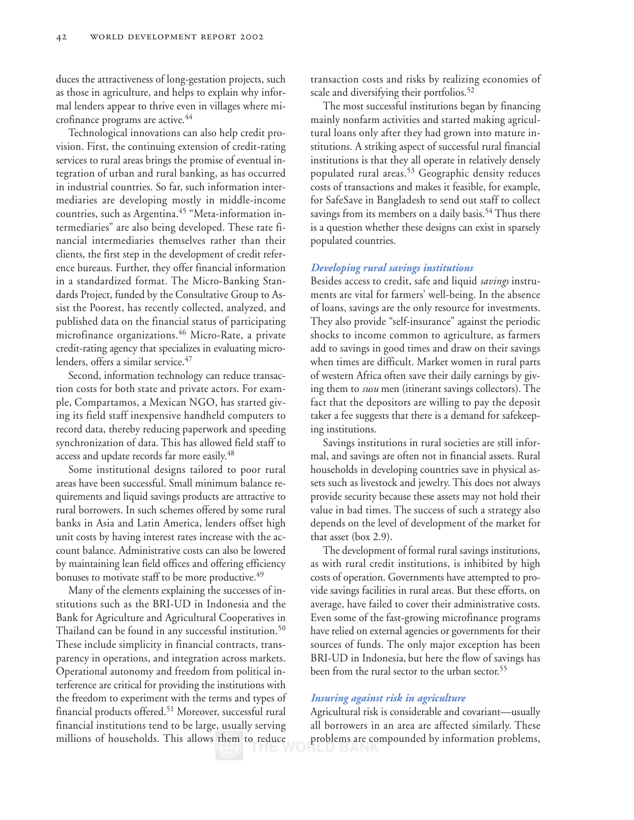duces the attractiveness of long-gestation projects, such as those in agriculture, and helps to explain why informal lenders appear to thrive even in villages where microfinance programs are active.<sup>44</sup>

Technological innovations can also help credit provision. First, the continuing extension of credit-rating services to rural areas brings the promise of eventual integration of urban and rural banking, as has occurred in industrial countries. So far, such information intermediaries are developing mostly in middle-income countries, such as Argentina.<sup>45</sup> "Meta-information intermediaries" are also being developed. These rate financial intermediaries themselves rather than their clients, the first step in the development of credit reference bureaus. Further, they offer financial information in a standardized format. The Micro-Banking Standards Project, funded by the Consultative Group to Assist the Poorest, has recently collected, analyzed, and published data on the financial status of participating microfinance organizations.<sup>46</sup> Micro-Rate, a private credit-rating agency that specializes in evaluating microlenders, offers a similar service.<sup>47</sup>

Second, information technology can reduce transaction costs for both state and private actors. For example, Compartamos, a Mexican NGO, has started giving its field staff inexpensive handheld computers to record data, thereby reducing paperwork and speeding synchronization of data. This has allowed field staff to access and update records far more easily.<sup>48</sup>

Some institutional designs tailored to poor rural areas have been successful. Small minimum balance requirements and liquid savings products are attractive to rural borrowers. In such schemes offered by some rural banks in Asia and Latin America, lenders offset high unit costs by having interest rates increase with the account balance. Administrative costs can also be lowered by maintaining lean field offices and offering efficiency bonuses to motivate staff to be more productive.<sup>49</sup>

Many of the elements explaining the successes of institutions such as the BRI-UD in Indonesia and the Bank for Agriculture and Agricultural Cooperatives in Thailand can be found in any successful institution.<sup>50</sup> These include simplicity in financial contracts, transparency in operations, and integration across markets. Operational autonomy and freedom from political interference are critical for providing the institutions with the freedom to experiment with the terms and types of financial products offered.<sup>51</sup> Moreover, successful rural financial institutions tend to be large, usually serving millions of households. This allows them to reduce

transaction costs and risks by realizing economies of scale and diversifying their portfolios.<sup>52</sup>

The most successful institutions began by financing mainly nonfarm activities and started making agricultural loans only after they had grown into mature institutions. A striking aspect of successful rural financial institutions is that they all operate in relatively densely populated rural areas.<sup>53</sup> Geographic density reduces costs of transactions and makes it feasible, for example, for SafeSave in Bangladesh to send out staff to collect savings from its members on a daily basis.<sup>54</sup> Thus there is a question whether these designs can exist in sparsely populated countries.

#### *Developing rural savings institutions*

Besides access to credit, safe and liquid *savings* instruments are vital for farmers' well-being. In the absence of loans, savings are the only resource for investments. They also provide "self-insurance" against the periodic shocks to income common to agriculture, as farmers add to savings in good times and draw on their savings when times are difficult. Market women in rural parts of western Africa often save their daily earnings by giving them to *susu* men (itinerant savings collectors). The fact that the depositors are willing to pay the deposit taker a fee suggests that there is a demand for safekeeping institutions.

Savings institutions in rural societies are still informal, and savings are often not in financial assets. Rural households in developing countries save in physical assets such as livestock and jewelry. This does not always provide security because these assets may not hold their value in bad times. The success of such a strategy also depends on the level of development of the market for that asset (box 2.9).

The development of formal rural savings institutions, as with rural credit institutions, is inhibited by high costs of operation. Governments have attempted to provide savings facilities in rural areas. But these efforts, on average, have failed to cover their administrative costs. Even some of the fast-growing microfinance programs have relied on external agencies or governments for their sources of funds. The only major exception has been BRI-UD in Indonesia, but here the flow of savings has been from the rural sector to the urban sector.<sup>55</sup>

# *Insuring against risk in agriculture*

Agricultural risk is considerable and covariant—usually all borrowers in an area are affected similarly. These problems are compounded by information problems,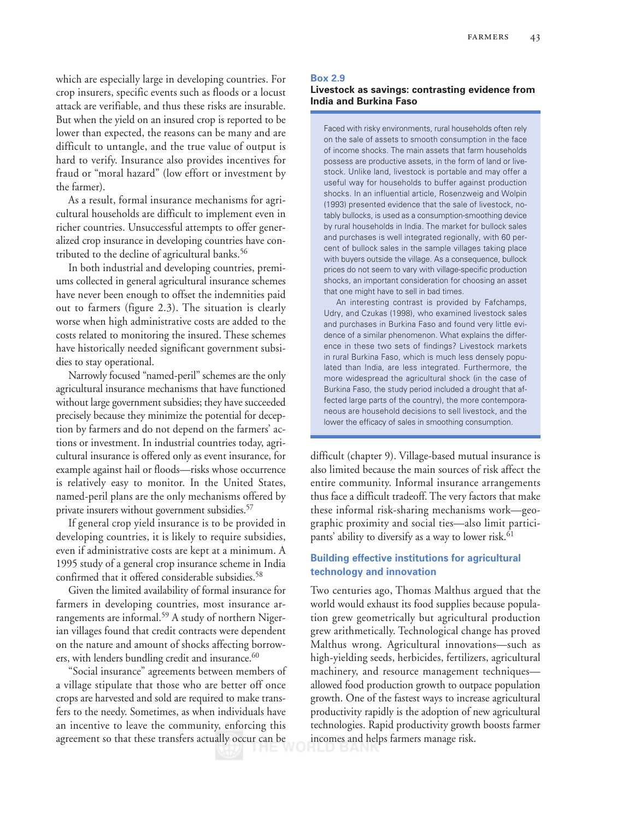which are especially large in developing countries. For crop insurers, specific events such as floods or a locust attack are verifiable, and thus these risks are insurable. But when the yield on an insured crop is reported to be lower than expected, the reasons can be many and are difficult to untangle, and the true value of output is hard to verify. Insurance also provides incentives for fraud or "moral hazard" (low effort or investment by the farmer).

As a result, formal insurance mechanisms for agricultural households are difficult to implement even in richer countries. Unsuccessful attempts to offer generalized crop insurance in developing countries have contributed to the decline of agricultural banks.<sup>56</sup>

In both industrial and developing countries, premiums collected in general agricultural insurance schemes have never been enough to offset the indemnities paid out to farmers (figure 2.3). The situation is clearly worse when high administrative costs are added to the costs related to monitoring the insured. These schemes have historically needed significant government subsidies to stay operational.

Narrowly focused "named-peril" schemes are the only agricultural insurance mechanisms that have functioned without large government subsidies; they have succeeded precisely because they minimize the potential for deception by farmers and do not depend on the farmers' actions or investment. In industrial countries today, agricultural insurance is offered only as event insurance, for example against hail or floods—risks whose occurrence is relatively easy to monitor. In the United States, named-peril plans are the only mechanisms offered by private insurers without government subsidies.<sup>57</sup>

If general crop yield insurance is to be provided in developing countries, it is likely to require subsidies, even if administrative costs are kept at a minimum. A 1995 study of a general crop insurance scheme in India confirmed that it offered considerable subsidies.<sup>58</sup>

Given the limited availability of formal insurance for farmers in developing countries, most insurance arrangements are informal.<sup>59</sup> A study of northern Nigerian villages found that credit contracts were dependent on the nature and amount of shocks affecting borrowers, with lenders bundling credit and insurance.<sup>60</sup>

"Social insurance" agreements between members of a village stipulate that those who are better off once crops are harvested and sold are required to make transfers to the needy. Sometimes, as when individuals have an incentive to leave the community, enforcing this agreement so that these transfers actually occur can be

#### **Box 2.9**

# **Livestock as savings: contrasting evidence from India and Burkina Faso**

Faced with risky environments, rural households often rely on the sale of assets to smooth consumption in the face of income shocks. The main assets that farm households possess are productive assets, in the form of land or livestock. Unlike land, livestock is portable and may offer a useful way for households to buffer against production shocks. In an influential article, Rosenzweig and Wolpin (1993) presented evidence that the sale of livestock, notably bullocks, is used as a consumption-smoothing device by rural households in India. The market for bullock sales and purchases is well integrated regionally, with 60 percent of bullock sales in the sample villages taking place with buyers outside the village. As a consequence, bullock prices do not seem to vary with village-specific production shocks, an important consideration for choosing an asset that one might have to sell in bad times.

An interesting contrast is provided by Fafchamps, Udry, and Czukas (1998), who examined livestock sales and purchases in Burkina Faso and found very little evidence of a similar phenomenon. What explains the difference in these two sets of findings? Livestock markets in rural Burkina Faso, which is much less densely populated than India, are less integrated. Furthermore, the more widespread the agricultural shock (in the case of Burkina Faso, the study period included a drought that affected large parts of the country), the more contemporaneous are household decisions to sell livestock, and the lower the efficacy of sales in smoothing consumption.

difficult (chapter 9). Village-based mutual insurance is also limited because the main sources of risk affect the entire community. Informal insurance arrangements thus face a difficult tradeoff. The very factors that make these informal risk-sharing mechanisms work—geographic proximity and social ties—also limit participants' ability to diversify as a way to lower risk.<sup>61</sup>

# **Building effective institutions for agricultural technology and innovation**

Two centuries ago, Thomas Malthus argued that the world would exhaust its food supplies because population grew geometrically but agricultural production grew arithmetically. Technological change has proved Malthus wrong. Agricultural innovations—such as high-yielding seeds, herbicides, fertilizers, agricultural machinery, and resource management techniques allowed food production growth to outpace population growth. One of the fastest ways to increase agricultural productivity rapidly is the adoption of new agricultural technologies. Rapid productivity growth boosts farmer incomes and helps farmers manage risk.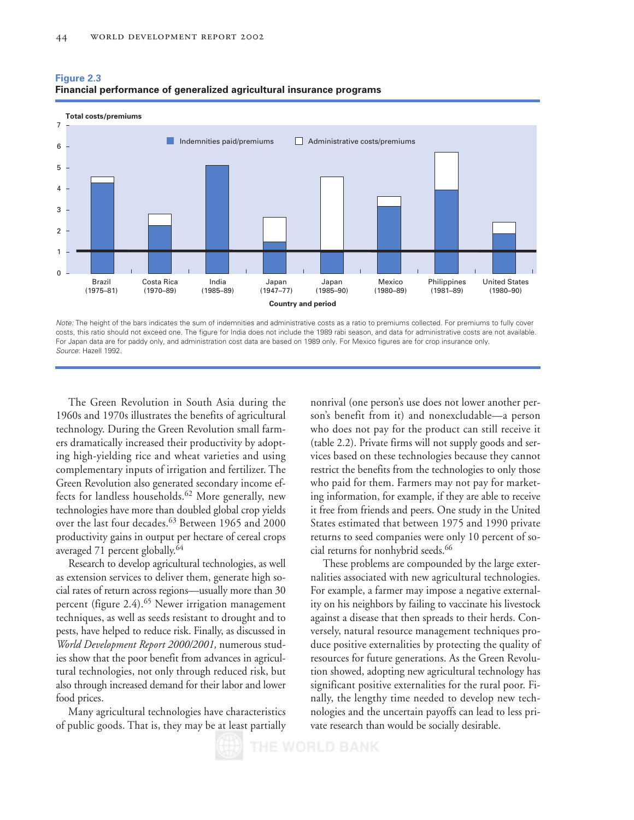



*Note:* The height of the bars indicates the sum of indemnities and administrative costs as a ratio to premiums collected. For premiums to fully cover costs, this ratio should not exceed one. The figure for India does not include the 1989 rabi season, and data for administrative costs are not available. For Japan data are for paddy only, and administration cost data are based on 1989 only. For Mexico figures are for crop insurance only. *Source*: Hazell 1992.

The Green Revolution in South Asia during the 1960s and 1970s illustrates the benefits of agricultural technology. During the Green Revolution small farmers dramatically increased their productivity by adopting high-yielding rice and wheat varieties and using complementary inputs of irrigation and fertilizer. The Green Revolution also generated secondary income effects for landless households.<sup>62</sup> More generally, new technologies have more than doubled global crop yields over the last four decades.<sup>63</sup> Between 1965 and 2000 productivity gains in output per hectare of cereal crops averaged 71 percent globally.<sup>64</sup>

Research to develop agricultural technologies, as well as extension services to deliver them, generate high social rates of return across regions—usually more than 30 percent (figure 2.4).<sup>65</sup> Newer irrigation management techniques, as well as seeds resistant to drought and to pests, have helped to reduce risk. Finally, as discussed in *World Development Report 2000/2001,* numerous studies show that the poor benefit from advances in agricultural technologies, not only through reduced risk, but also through increased demand for their labor and lower food prices.

Many agricultural technologies have characteristics of public goods. That is, they may be at least partially nonrival (one person's use does not lower another person's benefit from it) and nonexcludable—a person who does not pay for the product can still receive it (table 2.2). Private firms will not supply goods and services based on these technologies because they cannot restrict the benefits from the technologies to only those who paid for them. Farmers may not pay for marketing information, for example, if they are able to receive it free from friends and peers. One study in the United States estimated that between 1975 and 1990 private returns to seed companies were only 10 percent of social returns for nonhybrid seeds.<sup>66</sup>

These problems are compounded by the large externalities associated with new agricultural technologies. For example, a farmer may impose a negative externality on his neighbors by failing to vaccinate his livestock against a disease that then spreads to their herds. Conversely, natural resource management techniques produce positive externalities by protecting the quality of resources for future generations. As the Green Revolution showed, adopting new agricultural technology has significant positive externalities for the rural poor. Finally, the lengthy time needed to develop new technologies and the uncertain payoffs can lead to less private research than would be socially desirable.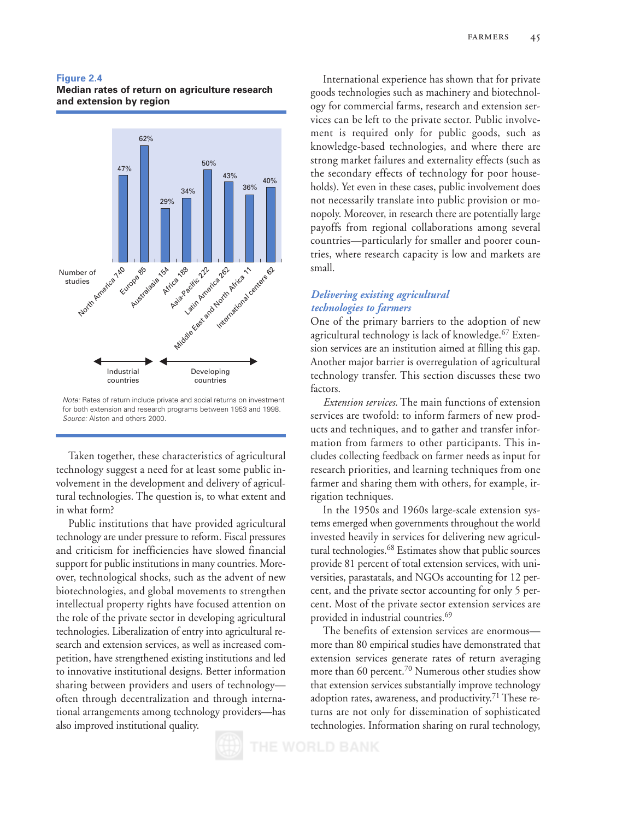**Figure 2.4 Median rates of return on agriculture research and extension by region**



*Note:* Rates of return include private and social returns on investment for both extension and research programs between 1953 and 1998. *Source:* Alston and others 2000.

Taken together, these characteristics of agricultural technology suggest a need for at least some public involvement in the development and delivery of agricultural technologies. The question is, to what extent and in what form?

Public institutions that have provided agricultural technology are under pressure to reform. Fiscal pressures and criticism for inefficiencies have slowed financial support for public institutions in many countries. Moreover, technological shocks, such as the advent of new biotechnologies, and global movements to strengthen intellectual property rights have focused attention on the role of the private sector in developing agricultural technologies. Liberalization of entry into agricultural research and extension services, as well as increased competition, have strengthened existing institutions and led to innovative institutional designs. Better information sharing between providers and users of technology often through decentralization and through international arrangements among technology providers—has also improved institutional quality.

International experience has shown that for private goods technologies such as machinery and biotechnology for commercial farms, research and extension services can be left to the private sector. Public involvement is required only for public goods, such as knowledge-based technologies, and where there are strong market failures and externality effects (such as the secondary effects of technology for poor households). Yet even in these cases, public involvement does not necessarily translate into public provision or monopoly. Moreover, in research there are potentially large payoffs from regional collaborations among several countries—particularly for smaller and poorer countries, where research capacity is low and markets are small.

# *Delivering existing agricultural technologies to farmers*

One of the primary barriers to the adoption of new agricultural technology is lack of knowledge.<sup>67</sup> Extension services are an institution aimed at filling this gap. Another major barrier is overregulation of agricultural technology transfer. This section discusses these two factors.

*Extension services.* The main functions of extension services are twofold: to inform farmers of new products and techniques, and to gather and transfer information from farmers to other participants. This includes collecting feedback on farmer needs as input for research priorities, and learning techniques from one farmer and sharing them with others, for example, irrigation techniques.

In the 1950s and 1960s large-scale extension systems emerged when governments throughout the world invested heavily in services for delivering new agricultural technologies.<sup>68</sup> Estimates show that public sources provide 81 percent of total extension services, with universities, parastatals, and NGOs accounting for 12 percent, and the private sector accounting for only 5 percent. Most of the private sector extension services are provided in industrial countries.<sup>69</sup>

The benefits of extension services are enormous more than 80 empirical studies have demonstrated that extension services generate rates of return averaging more than 60 percent.<sup>70</sup> Numerous other studies show that extension services substantially improve technology adoption rates, awareness, and productivity.<sup>71</sup> These returns are not only for dissemination of sophisticated technologies. Information sharing on rural technology,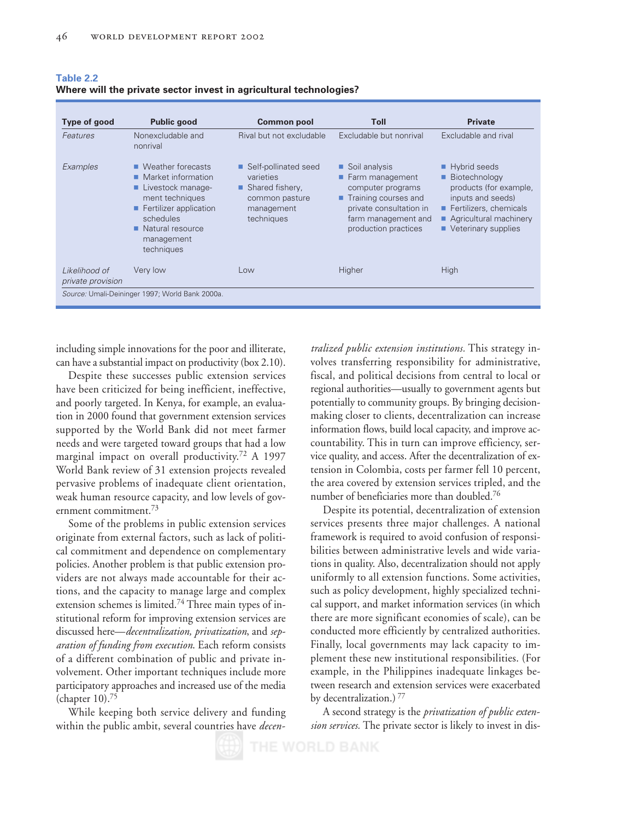| Type of good                                    | <b>Public good</b>                                                                                                                                                                                             | <b>Common pool</b>                                                                                     | Toll                                                                                                                                                      | <b>Private</b>                                                                                                                                                     |  |  |
|-------------------------------------------------|----------------------------------------------------------------------------------------------------------------------------------------------------------------------------------------------------------------|--------------------------------------------------------------------------------------------------------|-----------------------------------------------------------------------------------------------------------------------------------------------------------|--------------------------------------------------------------------------------------------------------------------------------------------------------------------|--|--|
| Features                                        | Nonexcludable and<br>nonrival                                                                                                                                                                                  | Rival but not excludable                                                                               | Excludable but nonrival                                                                                                                                   | Excludable and rival                                                                                                                                               |  |  |
| Examples                                        | $\blacksquare$ Weather forecasts<br>• Market information<br>Livestock manage-<br>ment techniques<br><b>Exercilizer application</b><br>schedules<br>$\blacksquare$ Natural resource<br>management<br>techniques | ■ Self-pollinated seed<br>varieties<br>■ Shared fishery,<br>common pasture<br>management<br>techniques | Soil analysis<br>Farm management<br>computer programs<br>■ Training courses and<br>private consultation in<br>farm management and<br>production practices | ■ Hybrid seeds<br><b>Biotechnology</b><br>products (for example,<br>inputs and seeds)<br>Fertilizers, chemicals<br>Agricultural machinery<br>• Veterinary supplies |  |  |
| Likelihood of<br>private provision              | Very low                                                                                                                                                                                                       | Low                                                                                                    | Higher                                                                                                                                                    | <b>High</b>                                                                                                                                                        |  |  |
| Source: Umali-Deininger 1997; World Bank 2000a. |                                                                                                                                                                                                                |                                                                                                        |                                                                                                                                                           |                                                                                                                                                                    |  |  |

| Table 2.2 |                                                                    |  |  |
|-----------|--------------------------------------------------------------------|--|--|
|           | Where will the private sector invest in agricultural technologies? |  |  |

including simple innovations for the poor and illiterate, can have a substantial impact on productivity (box 2.10).

Despite these successes public extension services have been criticized for being inefficient, ineffective, and poorly targeted. In Kenya, for example, an evaluation in 2000 found that government extension services supported by the World Bank did not meet farmer needs and were targeted toward groups that had a low marginal impact on overall productivity.<sup>72</sup> A 1997 World Bank review of 31 extension projects revealed pervasive problems of inadequate client orientation, weak human resource capacity, and low levels of government commitment.<sup>73</sup>

Some of the problems in public extension services originate from external factors, such as lack of political commitment and dependence on complementary policies. Another problem is that public extension providers are not always made accountable for their actions, and the capacity to manage large and complex extension schemes is limited.<sup>74</sup> Three main types of institutional reform for improving extension services are discussed here—*decentralization, privatization*, and *separation of funding from execution*. Each reform consists of a different combination of public and private involvement. Other important techniques include more participatory approaches and increased use of the media (chapter 10).75

While keeping both service delivery and funding within the public ambit, several countries have *decen-*

*tralized public extension institutions.* This strategy involves transferring responsibility for administrative, fiscal, and political decisions from central to local or regional authorities—usually to government agents but potentially to community groups. By bringing decisionmaking closer to clients, decentralization can increase information flows, build local capacity, and improve accountability. This in turn can improve efficiency, service quality, and access. After the decentralization of extension in Colombia, costs per farmer fell 10 percent, the area covered by extension services tripled, and the number of beneficiaries more than doubled.<sup>76</sup>

Despite its potential, decentralization of extension services presents three major challenges. A national framework is required to avoid confusion of responsibilities between administrative levels and wide variations in quality. Also, decentralization should not apply uniformly to all extension functions. Some activities, such as policy development, highly specialized technical support, and market information services (in which there are more significant economies of scale), can be conducted more efficiently by centralized authorities. Finally, local governments may lack capacity to implement these new institutional responsibilities. (For example, in the Philippines inadequate linkages between research and extension services were exacerbated by decentralization.)  $77$ 

A second strategy is the *privatization of public extension services.* The private sector is likely to invest in dis-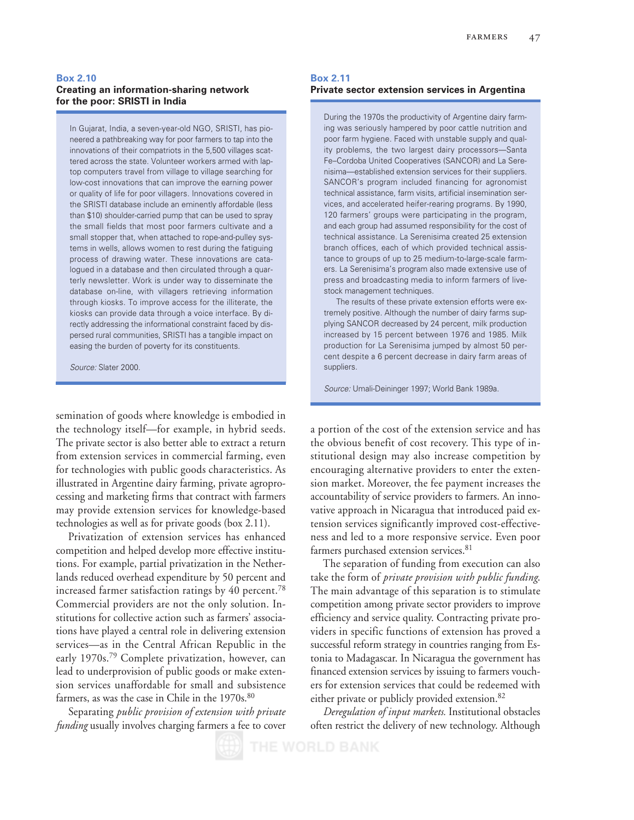### **Box 2.10 Creating an information-sharing network for the poor: SRISTI in India**

In Gujarat, India, a seven-year-old NGO, SRISTI, has pioneered a pathbreaking way for poor farmers to tap into the innovations of their compatriots in the 5,500 villages scattered across the state. Volunteer workers armed with laptop computers travel from village to village searching for low-cost innovations that can improve the earning power or quality of life for poor villagers. Innovations covered in the SRISTI database include an eminently affordable (less than \$10) shoulder-carried pump that can be used to spray the small fields that most poor farmers cultivate and a small stopper that, when attached to rope-and-pulley systems in wells, allows women to rest during the fatiguing process of drawing water. These innovations are catalogued in a database and then circulated through a quarterly newsletter. Work is under way to disseminate the database on-line, with villagers retrieving information through kiosks. To improve access for the illiterate, the kiosks can provide data through a voice interface. By directly addressing the informational constraint faced by dispersed rural communities, SRISTI has a tangible impact on easing the burden of poverty for its constituents.

*Source:* Slater 2000.

semination of goods where knowledge is embodied in the technology itself—for example, in hybrid seeds. The private sector is also better able to extract a return from extension services in commercial farming, even for technologies with public goods characteristics. As illustrated in Argentine dairy farming, private agroprocessing and marketing firms that contract with farmers may provide extension services for knowledge-based technologies as well as for private goods (box 2.11).

Privatization of extension services has enhanced competition and helped develop more effective institutions. For example, partial privatization in the Netherlands reduced overhead expenditure by 50 percent and increased farmer satisfaction ratings by 40 percent.<sup>78</sup> Commercial providers are not the only solution. Institutions for collective action such as farmers' associations have played a central role in delivering extension services—as in the Central African Republic in the early 1970s.<sup>79</sup> Complete privatization, however, can lead to underprovision of public goods or make extension services unaffordable for small and subsistence farmers, as was the case in Chile in the 1970s.<sup>80</sup>

Separating *public provision of extension with private funding* usually involves charging farmers a fee to cover

# **Box 2.11 Private sector extension services in Argentina**

During the 1970s the productivity of Argentine dairy farming was seriously hampered by poor cattle nutrition and poor farm hygiene. Faced with unstable supply and quality problems, the two largest dairy processors—Santa Fe–Cordoba United Cooperatives (SANCOR) and La Serenisima—established extension services for their suppliers. SANCOR's program included financing for agronomist technical assistance, farm visits, artificial insemination services, and accelerated heifer-rearing programs. By 1990, 120 farmers' groups were participating in the program, and each group had assumed responsibility for the cost of technical assistance. La Serenisima created 25 extension branch offices, each of which provided technical assistance to groups of up to 25 medium-to-large-scale farmers. La Serenisima's program also made extensive use of press and broadcasting media to inform farmers of livestock management techniques.

The results of these private extension efforts were extremely positive. Although the number of dairy farms supplying SANCOR decreased by 24 percent, milk production increased by 15 percent between 1976 and 1985. Milk production for La Serenisima jumped by almost 50 percent despite a 6 percent decrease in dairy farm areas of suppliers.

*Source:* Umali-Deininger 1997; World Bank 1989a.

a portion of the cost of the extension service and has the obvious benefit of cost recovery. This type of institutional design may also increase competition by encouraging alternative providers to enter the extension market. Moreover, the fee payment increases the accountability of service providers to farmers. An innovative approach in Nicaragua that introduced paid extension services significantly improved cost-effectiveness and led to a more responsive service. Even poor farmers purchased extension services.<sup>81</sup>

The separation of funding from execution can also take the form of *private provision with public funding*. The main advantage of this separation is to stimulate competition among private sector providers to improve efficiency and service quality. Contracting private providers in specific functions of extension has proved a successful reform strategy in countries ranging from Estonia to Madagascar. In Nicaragua the government has financed extension services by issuing to farmers vouchers for extension services that could be redeemed with either private or publicly provided extension.82

*Deregulation of input markets.* Institutional obstacles often restrict the delivery of new technology. Although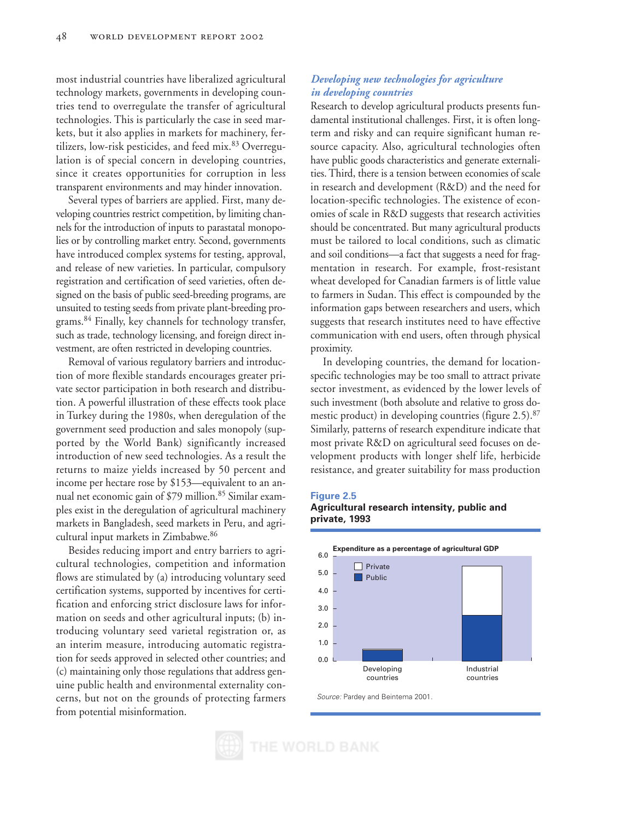most industrial countries have liberalized agricultural technology markets, governments in developing countries tend to overregulate the transfer of agricultural technologies. This is particularly the case in seed markets, but it also applies in markets for machinery, fertilizers, low-risk pesticides, and feed mix.<sup>83</sup> Overregulation is of special concern in developing countries, since it creates opportunities for corruption in less transparent environments and may hinder innovation.

Several types of barriers are applied. First, many developing countries restrict competition, by limiting channels for the introduction of inputs to parastatal monopolies or by controlling market entry. Second, governments have introduced complex systems for testing, approval, and release of new varieties. In particular, compulsory registration and certification of seed varieties, often designed on the basis of public seed-breeding programs, are unsuited to testing seeds from private plant-breeding programs.<sup>84</sup> Finally, key channels for technology transfer, such as trade, technology licensing, and foreign direct investment, are often restricted in developing countries.

Removal of various regulatory barriers and introduction of more flexible standards encourages greater private sector participation in both research and distribution. A powerful illustration of these effects took place in Turkey during the 1980s, when deregulation of the government seed production and sales monopoly (supported by the World Bank) significantly increased introduction of new seed technologies. As a result the returns to maize yields increased by 50 percent and income per hectare rose by \$153—equivalent to an annual net economic gain of \$79 million.<sup>85</sup> Similar examples exist in the deregulation of agricultural machinery markets in Bangladesh, seed markets in Peru, and agricultural input markets in Zimbabwe.86

Besides reducing import and entry barriers to agricultural technologies, competition and information flows are stimulated by (a) introducing voluntary seed certification systems, supported by incentives for certification and enforcing strict disclosure laws for information on seeds and other agricultural inputs; (b) introducing voluntary seed varietal registration or, as an interim measure, introducing automatic registration for seeds approved in selected other countries; and (c) maintaining only those regulations that address genuine public health and environmental externality concerns, but not on the grounds of protecting farmers from potential misinformation.

# *Developing new technologies for agriculture in developing countries*

Research to develop agricultural products presents fundamental institutional challenges. First, it is often longterm and risky and can require significant human resource capacity. Also, agricultural technologies often have public goods characteristics and generate externalities. Third, there is a tension between economies of scale in research and development (R&D) and the need for location-specific technologies. The existence of economies of scale in R&D suggests that research activities should be concentrated. But many agricultural products must be tailored to local conditions, such as climatic and soil conditions—a fact that suggests a need for fragmentation in research. For example, frost-resistant wheat developed for Canadian farmers is of little value to farmers in Sudan. This effect is compounded by the information gaps between researchers and users, which suggests that research institutes need to have effective communication with end users, often through physical proximity.

In developing countries, the demand for locationspecific technologies may be too small to attract private sector investment, as evidenced by the lower levels of such investment (both absolute and relative to gross domestic product) in developing countries (figure 2.5).<sup>87</sup> Similarly, patterns of research expenditure indicate that most private R&D on agricultural seed focuses on development products with longer shelf life, herbicide resistance, and greater suitability for mass production

#### **Figure 2.5**

# **Agricultural research intensity, public and private, 1993**



*Source:* Pardey and Beintema 2001.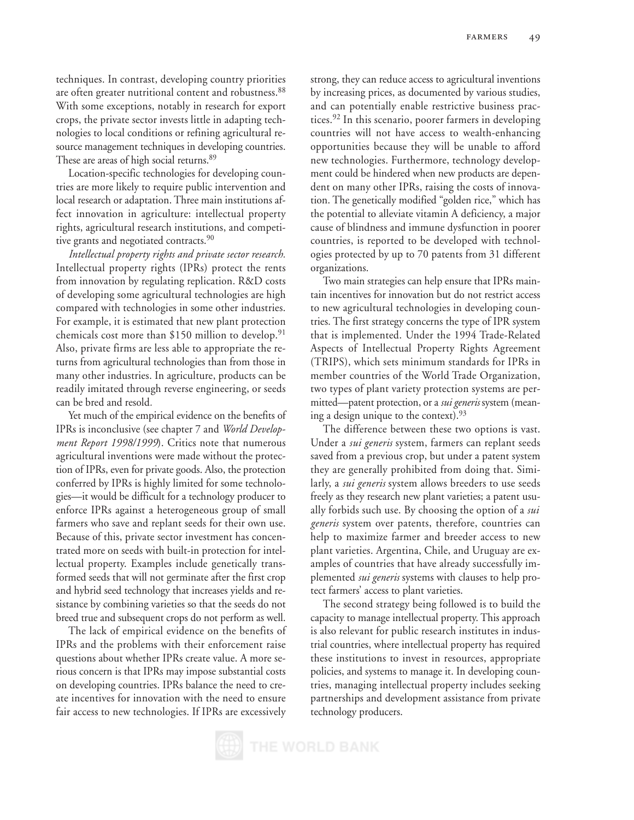techniques. In contrast, developing country priorities are often greater nutritional content and robustness.<sup>88</sup> With some exceptions, notably in research for export crops, the private sector invests little in adapting technologies to local conditions or refining agricultural resource management techniques in developing countries. These are areas of high social returns.<sup>89</sup>

Location-specific technologies for developing countries are more likely to require public intervention and local research or adaptation. Three main institutions affect innovation in agriculture: intellectual property rights, agricultural research institutions, and competitive grants and negotiated contracts.<sup>90</sup>

*Intellectual property rights and private sector research.* Intellectual property rights (IPRs) protect the rents from innovation by regulating replication. R&D costs of developing some agricultural technologies are high compared with technologies in some other industries. For example, it is estimated that new plant protection chemicals cost more than \$150 million to develop.<sup>91</sup> Also, private firms are less able to appropriate the returns from agricultural technologies than from those in many other industries. In agriculture, products can be readily imitated through reverse engineering, or seeds can be bred and resold*.* 

Yet much of the empirical evidence on the benefits of IPRs is inconclusive (see chapter 7 and *World Development Report 1998/1999*). Critics note that numerous agricultural inventions were made without the protection of IPRs, even for private goods. Also, the protection conferred by IPRs is highly limited for some technologies—it would be difficult for a technology producer to enforce IPRs against a heterogeneous group of small farmers who save and replant seeds for their own use. Because of this, private sector investment has concentrated more on seeds with built-in protection for intellectual property. Examples include genetically transformed seeds that will not germinate after the first crop and hybrid seed technology that increases yields and resistance by combining varieties so that the seeds do not breed true and subsequent crops do not perform as well.

The lack of empirical evidence on the benefits of IPRs and the problems with their enforcement raise questions about whether IPRs create value. A more serious concern is that IPRs may impose substantial costs on developing countries. IPRs balance the need to create incentives for innovation with the need to ensure fair access to new technologies. If IPRs are excessively

strong, they can reduce access to agricultural inventions by increasing prices, as documented by various studies, and can potentially enable restrictive business practices.<sup>92</sup> In this scenario, poorer farmers in developing countries will not have access to wealth-enhancing opportunities because they will be unable to afford new technologies. Furthermore, technology development could be hindered when new products are dependent on many other IPRs, raising the costs of innovation. The genetically modified "golden rice," which has the potential to alleviate vitamin A deficiency, a major cause of blindness and immune dysfunction in poorer countries, is reported to be developed with technologies protected by up to 70 patents from 31 different organizations.

Two main strategies can help ensure that IPRs maintain incentives for innovation but do not restrict access to new agricultural technologies in developing countries. The first strategy concerns the type of IPR system that is implemented. Under the 1994 Trade-Related Aspects of Intellectual Property Rights Agreement (TRIPS), which sets minimum standards for IPRs in member countries of the World Trade Organization, two types of plant variety protection systems are permitted—patent protection, or a *sui generis* system (meaning a design unique to the context).  $93$ 

The difference between these two options is vast. Under a *sui generis* system, farmers can replant seeds saved from a previous crop, but under a patent system they are generally prohibited from doing that. Similarly, a *sui generis* system allows breeders to use seeds freely as they research new plant varieties; a patent usually forbids such use. By choosing the option of a *sui generis* system over patents, therefore, countries can help to maximize farmer and breeder access to new plant varieties. Argentina, Chile, and Uruguay are examples of countries that have already successfully implemented *sui generis* systems with clauses to help protect farmers' access to plant varieties.

The second strategy being followed is to build the capacity to manage intellectual property. This approach is also relevant for public research institutes in industrial countries, where intellectual property has required these institutions to invest in resources, appropriate policies, and systems to manage it. In developing countries, managing intellectual property includes seeking partnerships and development assistance from private technology producers.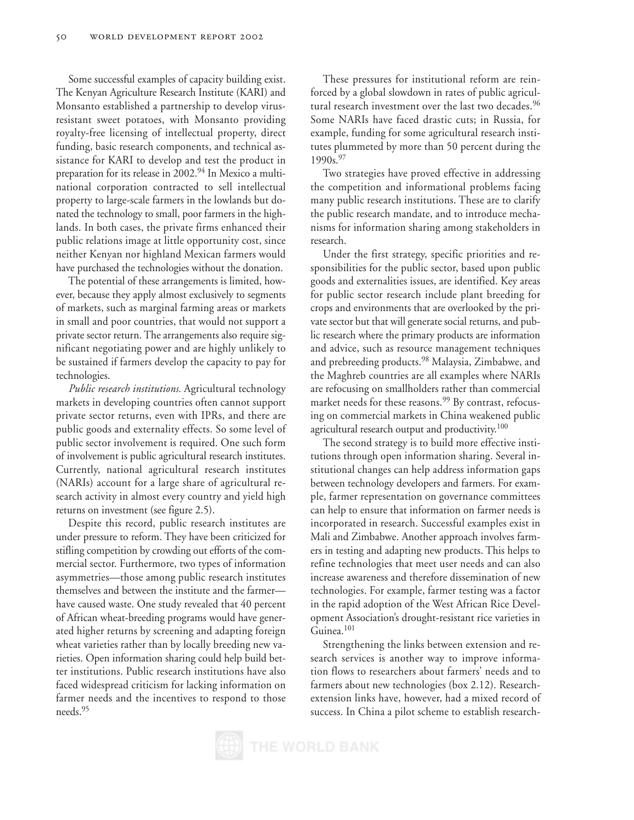Some successful examples of capacity building exist. The Kenyan Agriculture Research Institute (KARI) and Monsanto established a partnership to develop virusresistant sweet potatoes, with Monsanto providing royalty-free licensing of intellectual property, direct funding, basic research components, and technical assistance for KARI to develop and test the product in preparation for its release in 2002.<sup>94</sup> In Mexico a multinational corporation contracted to sell intellectual property to large-scale farmers in the lowlands but donated the technology to small, poor farmers in the highlands. In both cases, the private firms enhanced their public relations image at little opportunity cost, since neither Kenyan nor highland Mexican farmers would have purchased the technologies without the donation.

The potential of these arrangements is limited, however, because they apply almost exclusively to segments of markets, such as marginal farming areas or markets in small and poor countries, that would not support a private sector return. The arrangements also require significant negotiating power and are highly unlikely to be sustained if farmers develop the capacity to pay for technologies.

*Public research institutions.* Agricultural technology markets in developing countries often cannot support private sector returns, even with IPRs, and there are public goods and externality effects. So some level of public sector involvement is required. One such form of involvement is public agricultural research institutes. Currently, national agricultural research institutes (NARIs) account for a large share of agricultural research activity in almost every country and yield high returns on investment (see figure 2.5).

Despite this record, public research institutes are under pressure to reform. They have been criticized for stifling competition by crowding out efforts of the commercial sector. Furthermore, two types of information asymmetries—those among public research institutes themselves and between the institute and the farmer have caused waste. One study revealed that 40 percent of African wheat-breeding programs would have generated higher returns by screening and adapting foreign wheat varieties rather than by locally breeding new varieties. Open information sharing could help build better institutions. Public research institutions have also faced widespread criticism for lacking information on farmer needs and the incentives to respond to those needs<sup>95</sup>

These pressures for institutional reform are reinforced by a global slowdown in rates of public agricultural research investment over the last two decades.<sup>96</sup> Some NARIs have faced drastic cuts; in Russia, for example, funding for some agricultural research institutes plummeted by more than 50 percent during the 1990s.<sup>97</sup>

Two strategies have proved effective in addressing the competition and informational problems facing many public research institutions. These are to clarify the public research mandate, and to introduce mechanisms for information sharing among stakeholders in research.

Under the first strategy, specific priorities and responsibilities for the public sector, based upon public goods and externalities issues, are identified. Key areas for public sector research include plant breeding for crops and environments that are overlooked by the private sector but that will generate social returns, and public research where the primary products are information and advice, such as resource management techniques and prebreeding products.<sup>98</sup> Malaysia, Zimbabwe, and the Maghreb countries are all examples where NARIs are refocusing on smallholders rather than commercial market needs for these reasons.<sup>99</sup> By contrast, refocusing on commercial markets in China weakened public agricultural research output and productivity.<sup>100</sup>

The second strategy is to build more effective institutions through open information sharing. Several institutional changes can help address information gaps between technology developers and farmers. For example, farmer representation on governance committees can help to ensure that information on farmer needs is incorporated in research. Successful examples exist in Mali and Zimbabwe. Another approach involves farmers in testing and adapting new products. This helps to refine technologies that meet user needs and can also increase awareness and therefore dissemination of new technologies. For example, farmer testing was a factor in the rapid adoption of the West African Rice Development Association's drought-resistant rice varieties in Guinea.101

Strengthening the links between extension and research services is another way to improve information flows to researchers about farmers' needs and to farmers about new technologies (box 2.12). Researchextension links have, however, had a mixed record of success. In China a pilot scheme to establish research-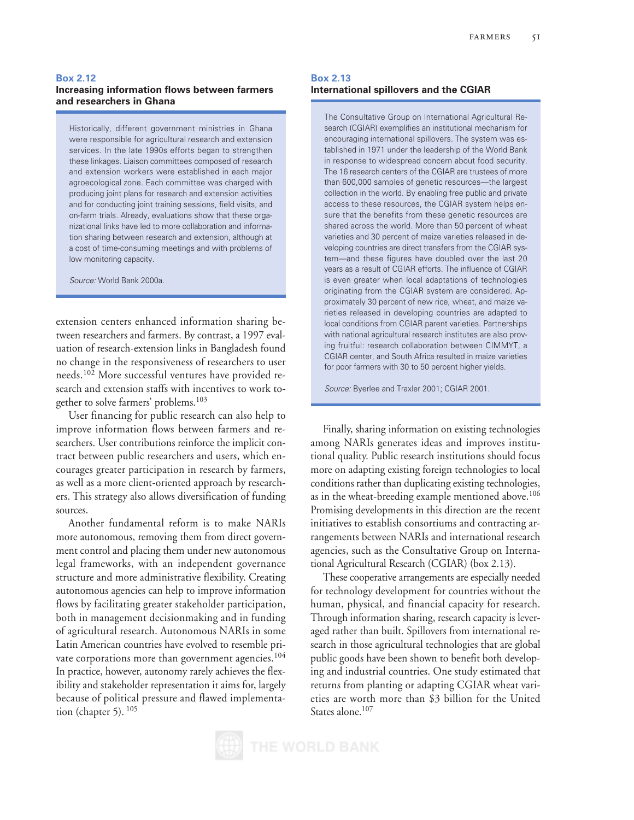#### **Box 2.12 Increasing information flows between farmers and researchers in Ghana**

Historically, different government ministries in Ghana were responsible for agricultural research and extension services. In the late 1990s efforts began to strengthen these linkages. Liaison committees composed of research and extension workers were established in each major agroecological zone. Each committee was charged with producing joint plans for research and extension activities and for conducting joint training sessions, field visits, and on-farm trials. Already, evaluations show that these organizational links have led to more collaboration and information sharing between research and extension, although at a cost of time-consuming meetings and with problems of low monitoring capacity.

*Source:* World Bank 2000a.

extension centers enhanced information sharing between researchers and farmers. By contrast, a 1997 evaluation of research-extension links in Bangladesh found no change in the responsiveness of researchers to user needs.<sup>102</sup> More successful ventures have provided research and extension staffs with incentives to work together to solve farmers' problems.<sup>103</sup>

User financing for public research can also help to improve information flows between farmers and researchers. User contributions reinforce the implicit contract between public researchers and users, which encourages greater participation in research by farmers, as well as a more client-oriented approach by researchers. This strategy also allows diversification of funding sources.

Another fundamental reform is to make NARIs more autonomous, removing them from direct government control and placing them under new autonomous legal frameworks, with an independent governance structure and more administrative flexibility. Creating autonomous agencies can help to improve information flows by facilitating greater stakeholder participation, both in management decisionmaking and in funding of agricultural research. Autonomous NARIs in some Latin American countries have evolved to resemble private corporations more than government agencies.  $104$ In practice, however, autonomy rarely achieves the flexibility and stakeholder representation it aims for, largely because of political pressure and flawed implementation (chapter 5).  $105$ 

# **Box 2.13 International spillovers and the CGIAR**

The Consultative Group on International Agricultural Research (CGIAR) exemplifies an institutional mechanism for encouraging international spillovers. The system was established in 1971 under the leadership of the World Bank in response to widespread concern about food security. The 16 research centers of the CGIAR are trustees of more than 600,000 samples of genetic resources—the largest collection in the world. By enabling free public and private access to these resources, the CGIAR system helps ensure that the benefits from these genetic resources are shared across the world. More than 50 percent of wheat varieties and 30 percent of maize varieties released in developing countries are direct transfers from the CGIAR system—and these figures have doubled over the last 20 years as a result of CGIAR efforts. The influence of CGIAR is even greater when local adaptations of technologies originating from the CGIAR system are considered. Approximately 30 percent of new rice, wheat, and maize varieties released in developing countries are adapted to local conditions from CGIAR parent varieties. Partnerships with national agricultural research institutes are also proving fruitful: research collaboration between CIMMYT, a CGIAR center, and South Africa resulted in maize varieties for poor farmers with 30 to 50 percent higher yields.

*Source:* Byerlee and Traxler 2001; CGIAR 2001.

Finally, sharing information on existing technologies among NARIs generates ideas and improves institutional quality. Public research institutions should focus more on adapting existing foreign technologies to local conditions rather than duplicating existing technologies, as in the wheat-breeding example mentioned above.<sup>106</sup> Promising developments in this direction are the recent initiatives to establish consortiums and contracting arrangements between NARIs and international research agencies, such as the Consultative Group on International Agricultural Research (CGIAR) (box 2.13).

These cooperative arrangements are especially needed for technology development for countries without the human, physical, and financial capacity for research. Through information sharing, research capacity is leveraged rather than built. Spillovers from international research in those agricultural technologies that are global public goods have been shown to benefit both developing and industrial countries. One study estimated that returns from planting or adapting CGIAR wheat varieties are worth more than \$3 billion for the United States alone.<sup>107</sup>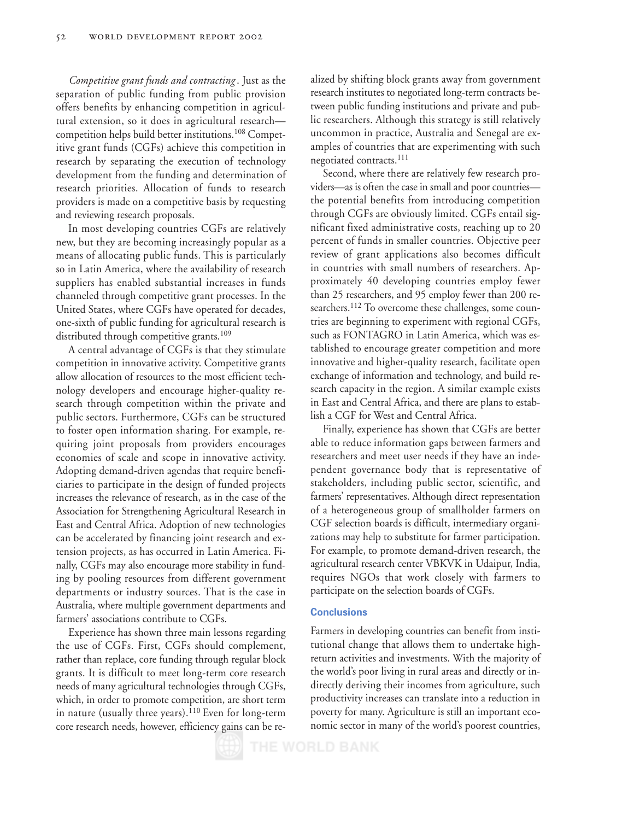*Competitive grant funds and contracting* . Just as the separation of public funding from public provision offers benefits by enhancing competition in agricultural extension, so it does in agricultural research competition helps build better institutions.<sup>108</sup> Competitive grant funds (CGFs) achieve this competition in research by separating the execution of technology development from the funding and determination of research priorities. Allocation of funds to research providers is made on a competitive basis by requesting and reviewing research proposals.

In most developing countries CGFs are relatively new, but they are becoming increasingly popular as a means of allocating public funds. This is particularly so in Latin America, where the availability of research suppliers has enabled substantial increases in funds channeled through competitive grant processes. In the United States, where CGFs have operated for decades, one-sixth of public funding for agricultural research is distributed through competitive grants.<sup>109</sup>

A central advantage of CGFs is that they stimulate competition in innovative activity. Competitive grants allow allocation of resources to the most efficient technology developers and encourage higher-quality research through competition within the private and public sectors. Furthermore, CGFs can be structured to foster open information sharing. For example, requiring joint proposals from providers encourages economies of scale and scope in innovative activity. Adopting demand-driven agendas that require beneficiaries to participate in the design of funded projects increases the relevance of research, as in the case of the Association for Strengthening Agricultural Research in East and Central Africa. Adoption of new technologies can be accelerated by financing joint research and extension projects, as has occurred in Latin America. Finally, CGFs may also encourage more stability in funding by pooling resources from different government departments or industry sources. That is the case in Australia, where multiple government departments and farmers' associations contribute to CGFs.

Experience has shown three main lessons regarding the use of CGFs. First, CGFs should complement, rather than replace, core funding through regular block grants. It is difficult to meet long-term core research needs of many agricultural technologies through CGFs, which, in order to promote competition, are short term in nature (usually three years). $110$  Even for long-term core research needs, however, efficiency gains can be realized by shifting block grants away from government research institutes to negotiated long-term contracts between public funding institutions and private and public researchers. Although this strategy is still relatively uncommon in practice, Australia and Senegal are examples of countries that are experimenting with such negotiated contracts.111

Second, where there are relatively few research providers—as is often the case in small and poor countries the potential benefits from introducing competition through CGFs are obviously limited. CGFs entail significant fixed administrative costs, reaching up to 20 percent of funds in smaller countries. Objective peer review of grant applications also becomes difficult in countries with small numbers of researchers. Approximately 40 developing countries employ fewer than 25 researchers, and 95 employ fewer than 200 researchers.<sup>112</sup> To overcome these challenges, some countries are beginning to experiment with regional CGFs, such as FONTAGRO in Latin America, which was established to encourage greater competition and more innovative and higher-quality research, facilitate open exchange of information and technology, and build research capacity in the region. A similar example exists in East and Central Africa, and there are plans to establish a CGF for West and Central Africa.

Finally, experience has shown that CGFs are better able to reduce information gaps between farmers and researchers and meet user needs if they have an independent governance body that is representative of stakeholders, including public sector, scientific, and farmers' representatives. Although direct representation of a heterogeneous group of smallholder farmers on CGF selection boards is difficult, intermediary organizations may help to substitute for farmer participation. For example, to promote demand-driven research, the agricultural research center VBKVK in Udaipur, India, requires NGOs that work closely with farmers to participate on the selection boards of CGFs.

#### **Conclusions**

Farmers in developing countries can benefit from institutional change that allows them to undertake highreturn activities and investments. With the majority of the world's poor living in rural areas and directly or indirectly deriving their incomes from agriculture, such productivity increases can translate into a reduction in poverty for many. Agriculture is still an important economic sector in many of the world's poorest countries,